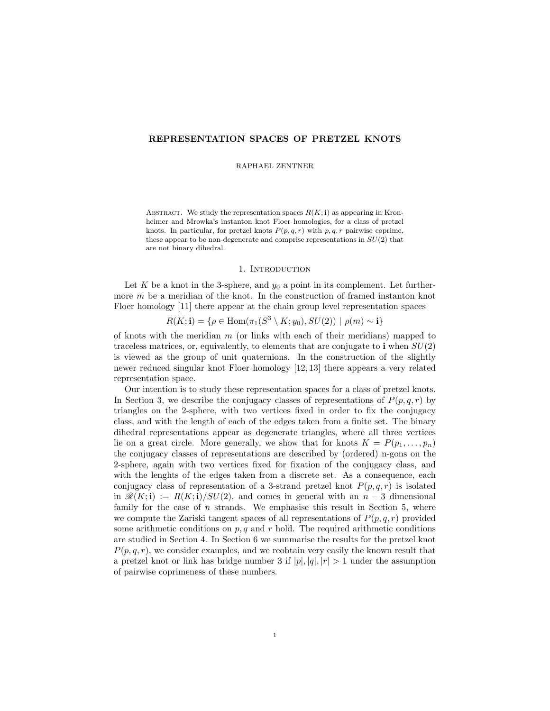# REPRESENTATION SPACES OF PRETZEL KNOTS

RAPHAEL ZENTNER

ABSTRACT. We study the representation spaces  $R(K; \mathbf{i})$  as appearing in Kronheimer and Mrowka's instanton knot Floer homologies, for a class of pretzel knots. In particular, for pretzel knots  $P(p, q, r)$  with p, q, r pairwise coprime, these appear to be non-degenerate and comprise representations in  $SU(2)$  that are not binary dihedral.

## 1. INTRODUCTION

Let K be a knot in the 3-sphere, and  $y_0$  a point in its complement. Let furthermore  $m$  be a meridian of the knot. In the construction of framed instanton knot Floer homology [11] there appear at the chain group level representation spaces

$$
R(K; \mathbf{i}) = \{ \rho \in \text{Hom}(\pi_1(S^3 \setminus K; y_0), SU(2)) \mid \rho(m) \sim \mathbf{i} \}
$$

of knots with the meridian  $m$  (or links with each of their meridians) mapped to traceless matrices, or, equivalently, to elements that are conjugate to  $\mathbf{i}$  when  $SU(2)$ is viewed as the group of unit quaternions. In the construction of the slightly newer reduced singular knot Floer homology [12, 13] there appears a very related representation space.

Our intention is to study these representation spaces for a class of pretzel knots. In Section 3, we describe the conjugacy classes of representations of  $P(p, q, r)$  by triangles on the 2-sphere, with two vertices fixed in order to fix the conjugacy class, and with the length of each of the edges taken from a finite set. The binary dihedral representations appear as degenerate triangles, where all three vertices lie on a great circle. More generally, we show that for knots  $K = P(p_1, \ldots, p_n)$ the conjugacy classes of representations are described by (ordered) n-gons on the 2-sphere, again with two vertices fixed for fixation of the conjugacy class, and with the lenghts of the edges taken from a discrete set. As a consequence, each conjugacy class of representation of a 3-strand pretzel knot  $P(p, q, r)$  is isolated in  $\mathcal{R}(K; \mathbf{i}) := R(K; \mathbf{i})/SU(2)$ , and comes in general with an  $n-3$  dimensional family for the case of  $n$  strands. We emphasise this result in Section 5, where we compute the Zariski tangent spaces of all representations of  $P(p, q, r)$  provided some arithmetic conditions on  $p, q$  and r hold. The required arithmetic conditions are studied in Section 4. In Section 6 we summarise the results for the pretzel knot  $P(p, q, r)$ , we consider examples, and we reobtain very easily the known result that a pretzel knot or link has bridge number 3 if  $|p|, |q|, |r| > 1$  under the assumption of pairwise coprimeness of these numbers.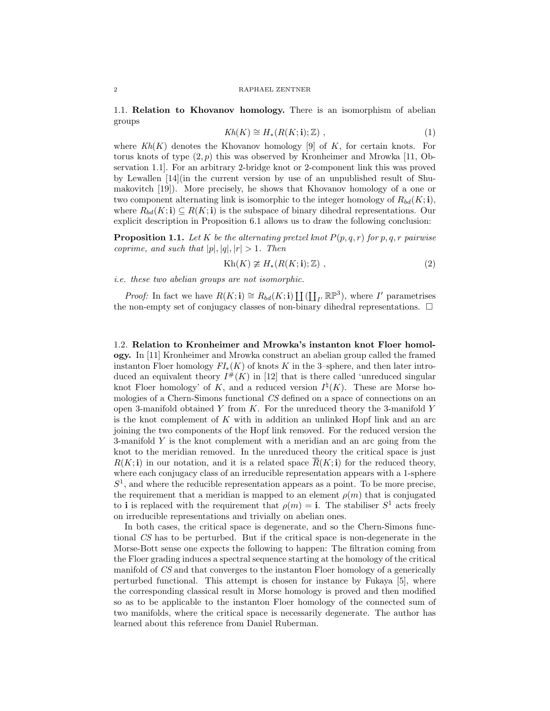1.1. Relation to Khovanov homology. There is an isomorphism of abelian groups

$$
Kh(K) \cong H_*(R(K; \mathbf{i}); \mathbb{Z}) , \qquad (1)
$$

where  $Kh(K)$  denotes the Khovanov homology [9] of K, for certain knots. For torus knots of type  $(2, p)$  this was observed by Kronheimer and Mrowka [11, Observation 1.1]. For an arbitrary 2-bridge knot or 2-component link this was proved by Lewallen [14](in the current version by use of an unpublished result of Shumakovitch [19]). More precisely, he shows that Khovanov homology of a one or two component alternating link is isomorphic to the integer homology of  $R_{bd}(K; \mathbf{i}),$ where  $R_{bd}(K; \mathbf{i}) \subseteq R(K; \mathbf{i})$  is the subspace of binary dihedral representations. Our explicit description in Proposition 6.1 allows us to draw the following conclusion:

**Proposition 1.1.** Let K be the alternating pretzel knot  $P(p,q,r)$  for p, q, r pairwise coprime, and such that  $|p|, |q|, |r| > 1$ . Then

$$
Kh(K) \ncong H_*(R(K; \mathbf{i}); \mathbb{Z}) ,
$$
\n(2)

i.e. these two abelian groups are not isomorphic.

*Proof:* In fact we have  $R(K; \mathbf{i}) \cong R_{bd}(K; \mathbf{i}) \coprod (\coprod_{I'} \mathbb{RP}^3)$ , where I' parametrises the non-empty set of conjugacy classes of non-binary dihedral representations.  $\Box$ 

1.2. Relation to Kronheimer and Mrowka's instanton knot Floer homology. In [11] Kronheimer and Mrowka construct an abelian group called the framed instanton Floer homology  $FI_*(K)$  of knots K in the 3–sphere, and then later introduced an equivalent theory  $I^{\#}(K)$  in [12] that is there called 'unreduced singular knot Floer homology' of K, and a reduced version  $I^{\natural}(K)$ . These are Morse homologies of a Chern-Simons functional CS defined on a space of connections on an open 3-manifold obtained  $Y$  from  $K$ . For the unreduced theory the 3-manifold  $Y$ is the knot complement of  $K$  with in addition an unlinked Hopf link and an arc joining the two components of the Hopf link removed. For the reduced version the 3-manifold Y is the knot complement with a meridian and an arc going from the knot to the meridian removed. In the unreduced theory the critical space is just  $R(K; i)$  in our notation, and it is a related space  $\overline{R}(K; i)$  for the reduced theory, where each conjugacy class of an irreducible representation appears with a 1-sphere  $S<sup>1</sup>$ , and where the reducible representation appears as a point. To be more precise, the requirement that a meridian is mapped to an element  $\rho(m)$  that is conjugated to i is replaced with the requirement that  $\rho(m) = \mathbf{i}$ . The stabiliser  $S^1$  acts freely on irreducible representations and trivially on abelian ones.

In both cases, the critical space is degenerate, and so the Chern-Simons functional CS has to be perturbed. But if the critical space is non-degenerate in the Morse-Bott sense one expects the following to happen: The filtration coming from the Floer grading induces a spectral sequence starting at the homology of the critical manifold of CS and that converges to the instanton Floer homology of a generically perturbed functional. This attempt is chosen for instance by Fukaya [5], where the corresponding classical result in Morse homology is proved and then modified so as to be applicable to the instanton Floer homology of the connected sum of two manifolds, where the critical space is necessarily degenerate. The author has learned about this reference from Daniel Ruberman.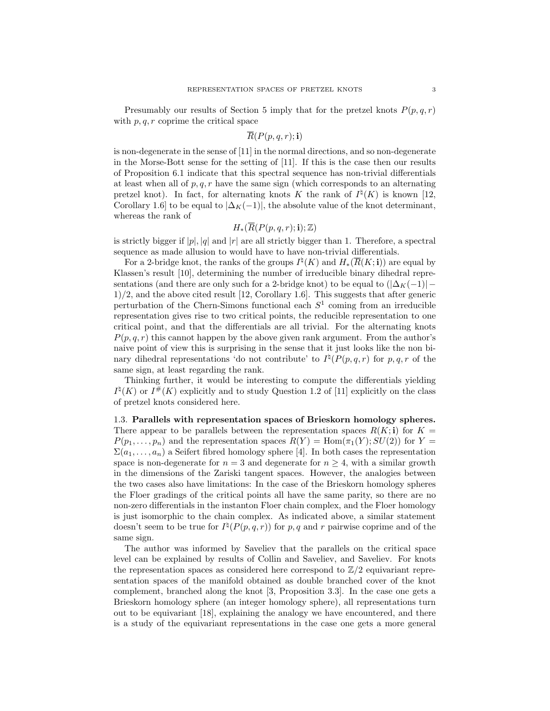Presumably our results of Section 5 imply that for the pretzel knots  $P(p, q, r)$ with  $p, q, r$  coprime the critical space

$$
\overline{R}(P(p,q,r);{\bf i})
$$

is non-degenerate in the sense of [11] in the normal directions, and so non-degenerate in the Morse-Bott sense for the setting of [11]. If this is the case then our results of Proposition 6.1 indicate that this spectral sequence has non-trivial differentials at least when all of  $p, q, r$  have the same sign (which corresponds to an alternating pretzel knot). In fact, for alternating knots K the rank of  $I^{\natural}(K)$  is known [12, Corollary 1.6] to be equal to  $|\Delta_K(-1)|$ , the absolute value of the knot determinant, whereas the rank of

$$
H_*(\overline{R}(P(p,q,r);\mathbf{i});\mathbb{Z})
$$

is strictly bigger if  $|p|, |q|$  and  $|r|$  are all strictly bigger than 1. Therefore, a spectral sequence as made allusion to would have to have non-trivial differentials.

For a 2-bridge knot, the ranks of the groups  $I^{\natural}(K)$  and  $H_{*}(\overline{R}(K; \mathbf{i}))$  are equal by Klassen's result [10], determining the number of irreducible binary dihedral representations (and there are only such for a 2-bridge knot) to be equal to  $(|\Delta_K(-1)| -$ 1)/2, and the above cited result [12, Corollary 1.6]. This suggests that after generic perturbation of the Chern-Simons functional each  $S<sup>1</sup>$  coming from an irreducible representation gives rise to two critical points, the reducible representation to one critical point, and that the differentials are all trivial. For the alternating knots  $P(p, q, r)$  this cannot happen by the above given rank argument. From the author's naive point of view this is surprising in the sense that it just looks like the non binary dihedral representations 'do not contribute' to  $I^{\natural}(P(p,q,r))$  for p, q, r of the same sign, at least regarding the rank.

Thinking further, it would be interesting to compute the differentials yielding  $I^{\natural}(K)$  or  $I^{\#}(K)$  explicitly and to study Question 1.2 of [11] explicitly on the class of pretzel knots considered here.

1.3. Parallels with representation spaces of Brieskorn homology spheres. There appear to be parallels between the representation spaces  $R(K; \mathbf{i})$  for  $K =$  $P(p_1, \ldots, p_n)$  and the representation spaces  $R(Y) = \text{Hom}(\pi_1(Y); SU(2))$  for  $Y =$  $\Sigma(a_1,\ldots,a_n)$  a Seifert fibred homology sphere [4]. In both cases the representation space is non-degenerate for  $n = 3$  and degenerate for  $n \geq 4$ , with a similar growth in the dimensions of the Zariski tangent spaces. However, the analogies between the two cases also have limitations: In the case of the Brieskorn homology spheres the Floer gradings of the critical points all have the same parity, so there are no non-zero differentials in the instanton Floer chain complex, and the Floer homology is just isomorphic to the chain complex. As indicated above, a similar statement doesn't seem to be true for  $I^{\natural}(P(p,q,r))$  for p, q and r pairwise coprime and of the same sign.

The author was informed by Saveliev that the parallels on the critical space level can be explained by results of Collin and Saveliev, and Saveliev. For knots the representation spaces as considered here correspond to  $\mathbb{Z}/2$  equivariant representation spaces of the manifold obtained as double branched cover of the knot complement, branched along the knot [3, Proposition 3.3]. In the case one gets a Brieskorn homology sphere (an integer homology sphere), all representations turn out to be equivariant [18], explaining the analogy we have encountered, and there is a study of the equivariant representations in the case one gets a more general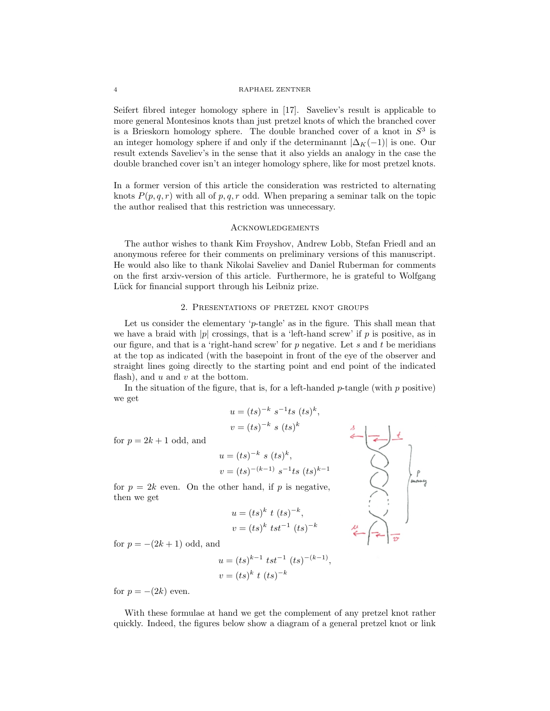Seifert fibred integer homology sphere in [17]. Saveliev's result is applicable to more general Montesinos knots than just pretzel knots of which the branched cover is a Brieskorn homology sphere. The double branched cover of a knot in  $S<sup>3</sup>$  is an integer homology sphere if and only if the determinannt  $|\Delta_K(-1)|$  is one. Our result extends Saveliev's in the sense that it also yields an analogy in the case the double branched cover isn't an integer homology sphere, like for most pretzel knots.

In a former version of this article the consideration was restricted to alternating knots  $P(p, q, r)$  with all of p, q, r odd. When preparing a seminar talk on the topic the author realised that this restriction was unnecessary.

# **ACKNOWLEDGEMENTS**

The author wishes to thank Kim Frøyshov, Andrew Lobb, Stefan Friedl and an anonymous referee for their comments on preliminary versions of this manuscript. He would also like to thank Nikolai Saveliev and Daniel Ruberman for comments on the first arxiv-version of this article. Furthermore, he is grateful to Wolfgang Lück for financial support through his Leibniz prize.

# 2. Presentations of pretzel knot groups

Let us consider the elementary 'p-tangle' as in the figure. This shall mean that we have a braid with |p| crossings, that is a 'left-hand screw' if p is positive, as in our figure, and that is a 'right-hand screw' for  $p$  negative. Let  $s$  and  $t$  be meridians at the top as indicated (with the basepoint in front of the eye of the observer and straight lines going directly to the starting point and end point of the indicated flash), and  $u$  and  $v$  at the bottom.

In the situation of the figure, that is, for a left-handed  $p$ -tangle (with  $p$  positive) we get

$$
u = (ts)^{-k} s^{-1}ts (ts)^{k},
$$
  
\n
$$
v = (ts)^{-k} s (ts)^{k}
$$
  
\n
$$
u = (ts)^{-k} s (ts)^{k},
$$
  
\n
$$
v = (ts)^{-(k-1)} s^{-1}te (ts)^{k-1}
$$

for  $p = 2k + 1$  odd, and

$$
v = (ts)^{-(k-1)} s^{-1}ts (ts)^{k-1}
$$
 for  $p = 2k$  even. On the other hand, if p is negative, then we get

$$
u = (ts)^k t (ts)^{-k},
$$
  

$$
v = (ts)^k tst^{-1} (ts)^{-k}
$$

for  $p = -(2k+1)$  odd, and

$$
u = (ts)^{k-1} \ tst^{-1} \ (ts)^{-(k-1)}
$$

$$
v = (ts)^k \ t \ (ts)^{-k}
$$

,

for  $p = -(2k)$  even.

With these formulae at hand we get the complement of any pretzel knot rather quickly. Indeed, the figures below show a diagram of a general pretzel knot or link

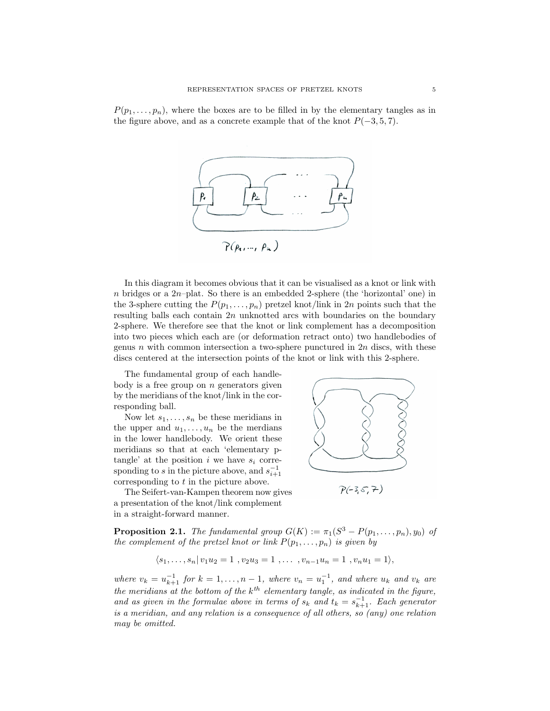$P(p_1, \ldots, p_n)$ , where the boxes are to be filled in by the elementary tangles as in the figure above, and as a concrete example that of the knot  $P(-3, 5, 7)$ .



In this diagram it becomes obvious that it can be visualised as a knot or link with n bridges or a  $2n$ -plat. So there is an embedded 2-sphere (the 'horizontal' one) in the 3-sphere cutting the  $P(p_1, \ldots, p_n)$  pretzel knot/link in 2n points such that the resulting balls each contain  $2n$  unknotted arcs with boundaries on the boundary 2-sphere. We therefore see that the knot or link complement has a decomposition into two pieces which each are (or deformation retract onto) two handlebodies of genus n with common intersection a two-sphere punctured in  $2n$  discs, with these discs centered at the intersection points of the knot or link with this 2-sphere.

The fundamental group of each handlebody is a free group on  $n$  generators given by the meridians of the knot/link in the corresponding ball.

Now let  $s_1, \ldots, s_n$  be these meridians in the upper and  $u_1, \ldots, u_n$  be the merdians in the lower handlebody. We orient these meridians so that at each 'elementary ptangle' at the position i we have  $s_i$  corresponding to s in the picture above, and  $s_{i+1}^{-1}$ corresponding to t in the picture above.

The Seifert-van-Kampen theorem now gives a presentation of the knot/link complement in a straight-forward manner.



$$
\mathcal{P}(-3,5,7)
$$

**Proposition 2.1.** The fundamental group  $G(K) := \pi_1(S^3 - P(p_1, \ldots, p_n), y_0)$  of the complement of the pretzel knot or link  $P(p_1, \ldots, p_n)$  is given by

$$
\langle s_1, \ldots, s_n | v_1 u_2 = 1, v_2 u_3 = 1, \ldots, v_{n-1} u_n = 1, v_n u_1 = 1 \rangle,
$$

where  $v_k = u_{k+1}^{-1}$  for  $k = 1, ..., n-1$ , where  $v_n = u_1^{-1}$ , and where  $u_k$  and  $v_k$  are the meridians at the bottom of the  $k^{th}$  elementary tangle, as indicated in the figure, and as given in the formulae above in terms of  $s_k$  and  $t_k = s_{k+1}^{-1}$ . Each generator is a meridian, and any relation is a consequence of all others, so (any) one relation may be omitted.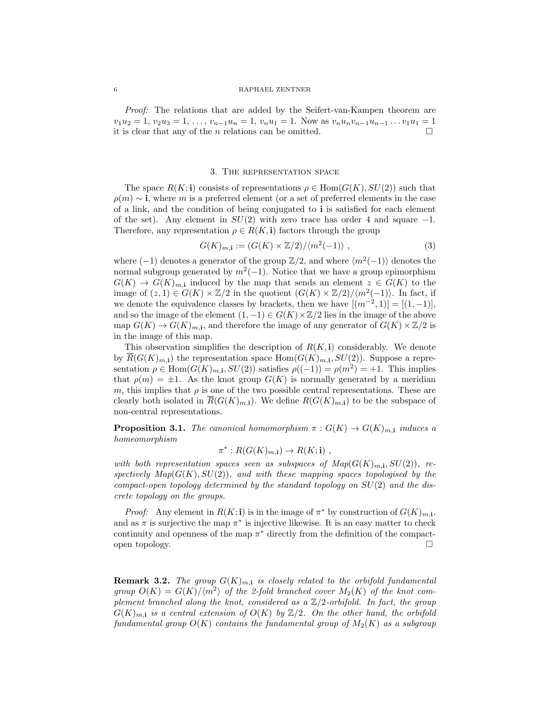Proof: The relations that are added by the Seifert-van-Kampen theorem are  $v_1u_2 = 1, v_2u_3 = 1, \ldots, v_{n-1}u_n = 1, v_nu_1 = 1$ . Now as  $v_nu_nv_{n-1}u_{n-1} \ldots v_1u_1 = 1$ it is clear that any of the *n* relations can be omitted.  $\square$ 

# 3. The representation space

The space  $R(K; \mathbf{i})$  consists of representations  $\rho \in \text{Hom}(G(K), SU(2))$  such that  $\rho(m) \sim i$ , where m is a preferred element (or a set of preferred elements in the case of a link, and the condition of being conjugated to i is satisfied for each element of the set). Any element in  $SU(2)$  with zero trace has order 4 and square  $-1$ . Therefore, any representation  $\rho \in R(K, \mathbf{i})$  factors through the group

$$
G(K)_{m, \mathbf{i}} := (G(K) \times \mathbb{Z}/2) / \langle m^2(-1) \rangle , \qquad (3)
$$

where  $(-1)$  denotes a generator of the group  $\mathbb{Z}/2$ , and where  $\langle m^2(-1) \rangle$  denotes the normal subgroup generated by  $m^2(-1)$ . Notice that we have a group epimorphism  $G(K) \to G(K)_{m,i}$  induced by the map that sends an element  $z \in G(K)$  to the image of  $(z,1) \in G(K) \times \mathbb{Z}/2$  in the quotient  $(G(K) \times \mathbb{Z}/2)/\langle m^2(-1) \rangle$ . In fact, if we denote the equivalence classes by brackets, then we have  $[(m^{-2}, 1)] = [(1, -1)],$ and so the image of the element  $(1, -1) \in G(K) \times \mathbb{Z}/2$  lies in the image of the above map  $G(K) \to G(K)_{m,i}$ , and therefore the image of any generator of  $G(K) \times \mathbb{Z}/2$  is in the image of this map.

This observation simplifies the description of  $R(K, \mathbf{i})$  considerably. We denote by  $R(G(K)_{m,i})$  the representation space  $Hom(G(K)_{m,i}, SU(2))$ . Suppose a representation  $\rho \in \text{Hom}(G(K)_{m,i}, SU(2))$  satisfies  $\rho((-1)) = \rho(m^2) = +1$ . This implies that  $\rho(m) = \pm 1$ . As the knot group  $G(K)$  is normally generated by a meridian m, this implies that  $\rho$  is one of the two possible central representations. These are clearly both isolated in  $\overline{R}(G(K)_{m,i})$ . We define  $R(G(K)_{m,i})$  to be the subspace of non-central representations.

**Proposition 3.1.** The canonical homomorphism  $\pi$ :  $G(K) \to G(K)_{m,i}$  induces a homeomorphism

$$
\pi^*: R(G(K)_{m,\mathbf{i}}) \to R(K;\mathbf{i}) ,
$$

with both representation spaces seen as subspaces of  $Map(G(K)_{m,i}, SU(2))$ , respectively  $Map(G(K), SU(2))$ , and with these mapping spaces topologised by the compact-open topology determined by the standard topology on  $SU(2)$  and the discrete topology on the groups.

*Proof:* Any element in  $R(K; \mathbf{i})$  is in the image of  $\pi^*$  by construction of  $G(K)_{m, \mathbf{i}}$ , and as  $\pi$  is surjective the map  $\pi^*$  is injective likewise. It is an easy matter to check continuity and openness of the map  $\pi^*$  directly from the definition of the compactopen topology.  $\Box$ 

**Remark 3.2.** The group  $G(K)_{m,i}$  is closely related to the orbifold fundamental group  $O(K) = G(K)/\langle m^2 \rangle$  of the 2-fold branched cover  $M_2(K)$  of the knot complement branched along the knot, considered as a  $\mathbb{Z}/2$ -orbifold. In fact, the group  $G(K)_{m,i}$  is a central extension of  $O(K)$  by  $\mathbb{Z}/2$ . On the other hand, the orbifold fundamental group  $O(K)$  contains the fundamental group of  $M_2(K)$  as a subgroup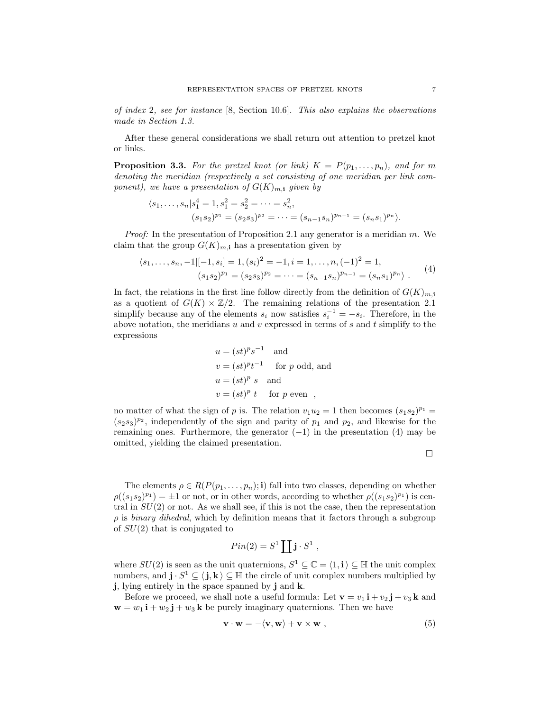of index 2, see for instance  $[8, \text{ Section } 10.6]$ . This also explains the observations made in Section 1.3.

After these general considerations we shall return out attention to pretzel knot or links.

**Proposition 3.3.** For the pretzel knot (or link)  $K = P(p_1, \ldots, p_n)$ , and for m denoting the meridian (respectively a set consisting of one meridian per link component), we have a presentation of  $G(K)_{m,1}$  given by

$$
\langle s_1, \ldots, s_n | s_1^4 = 1, s_1^2 = s_2^2 = \cdots = s_n^2,
$$
  
\n $(s_1 s_2)^{p_1} = (s_2 s_3)^{p_2} = \cdots = (s_{n-1} s_n)^{p_{n-1}} = (s_n s_1)^{p_n}.$ 

*Proof:* In the presentation of Proposition 2.1 any generator is a meridian  $m$ . We claim that the group  $G(K)_{m,i}$  has a presentation given by

$$
\langle s_1, \dots, s_n, -1 | [-1, s_i] = 1, (s_i)^2 = -1, i = 1, \dots, n, (-1)^2 = 1,
$$
  

$$
(s_1 s_2)^{p_1} = (s_2 s_3)^{p_2} = \dots = (s_{n-1} s_n)^{p_{n-1}} = (s_n s_1)^{p_n}.
$$
 (4)

In fact, the relations in the first line follow directly from the definition of  $G(K)_{m,i}$ as a quotient of  $G(K) \times \mathbb{Z}/2$ . The remaining relations of the presentation 2.1 simplify because any of the elements  $s_i$  now satisfies  $s_i^{-1} = -s_i$ . Therefore, in the above notation, the meridians  $u$  and  $v$  expressed in terms of  $s$  and  $t$  simplify to the expressions

$$
u = (st)^p s^{-1}
$$
 and  
\n
$$
v = (st)^p t^{-1}
$$
 for p odd, and  
\n
$$
u = (st)^p s
$$
 and  
\n
$$
v = (st)^p t
$$
 for p even ,

no matter of what the sign of p is. The relation  $v_1u_2 = 1$  then becomes  $(s_1s_2)^{p_1} =$  $(s_2s_3)^{p_2}$ , independently of the sign and parity of  $p_1$  and  $p_2$ , and likewise for the remaining ones. Furthermore, the generator  $(-1)$  in the presentation  $(4)$  may be omitted, yielding the claimed presentation.

 $\Box$ 

The elements  $\rho \in R(P(p_1, \ldots, p_n); \mathbf{i})$  fall into two classes, depending on whether  $\rho((s_1s_2)^{p_1}) = \pm 1$  or not, or in other words, according to whether  $\rho((s_1s_2)^{p_1})$  is central in  $SU(2)$  or not. As we shall see, if this is not the case, then the representation  $\rho$  is *binary dihedral*, which by definition means that it factors through a subgroup of  $SU(2)$  that is conjugated to

$$
Pin(2) = S^1 \coprod \mathbf{j} \cdot S^1 ,
$$

where  $SU(2)$  is seen as the unit quaternions,  $S^1 \subseteq \mathbb{C} = \langle 1, \mathbf{i} \rangle \subseteq \mathbb{H}$  the unit complex numbers, and  $\mathbf{j} \cdot S^1 \subseteq \langle \mathbf{j}, \mathbf{k} \rangle \subseteq \mathbb{H}$  the circle of unit complex numbers multiplied by j, lying entirely in the space spanned by j and k.

Before we proceed, we shall note a useful formula: Let  $\mathbf{v} = v_1 \mathbf{i} + v_2 \mathbf{j} + v_3 \mathbf{k}$  and  $\mathbf{w} = w_1 \mathbf{i} + w_2 \mathbf{j} + w_3 \mathbf{k}$  be purely imaginary quaternions. Then we have

$$
\mathbf{v} \cdot \mathbf{w} = -\langle \mathbf{v}, \mathbf{w} \rangle + \mathbf{v} \times \mathbf{w} \tag{5}
$$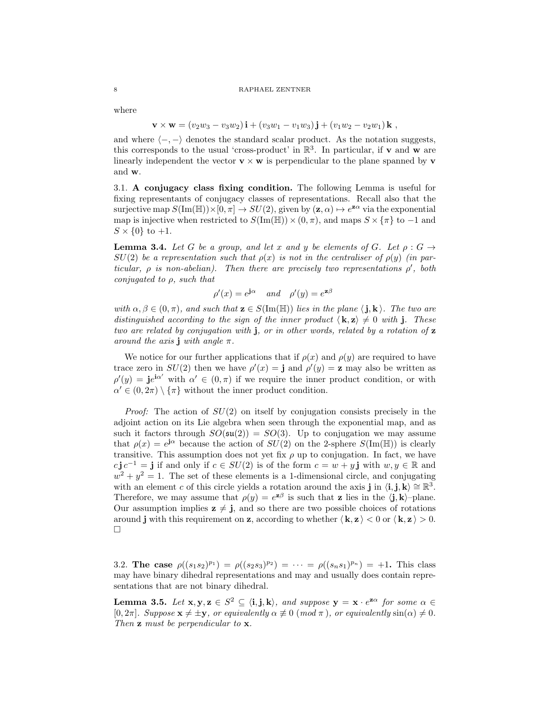where

$$
\mathbf{v} \times \mathbf{w} = (v_2w_3 - v_3w_2)\mathbf{i} + (v_3w_1 - v_1w_3)\mathbf{j} + (v_1w_2 - v_2w_1)\mathbf{k} ,
$$

and where  $\langle -,-\rangle$  denotes the standard scalar product. As the notation suggests, this corresponds to the usual 'cross-product' in  $\mathbb{R}^3$ . In particular, if **v** and **w** are linearly independent the vector  $\mathbf{v} \times \mathbf{w}$  is perpendicular to the plane spanned by  $\mathbf{v}$ and w.

3.1. A conjugacy class fixing condition. The following Lemma is useful for fixing representants of conjugacy classes of representations. Recall also that the surjective map  $S(\text{Im}(\mathbb{H})) \times [0, \pi] \to SU(2)$ , given by  $(\mathbf{z}, \alpha) \mapsto e^{\mathbf{z}\alpha}$  via the exponential map is injective when restricted to  $S(\text{Im}(\mathbb{H})) \times (0, \pi)$ , and maps  $S \times \{\pi\}$  to -1 and  $S \times \{0\}$  to  $+1$ .

**Lemma 3.4.** Let G be a group, and let x and y be elements of G. Let  $\rho : G \rightarrow$  $SU(2)$  be a representation such that  $\rho(x)$  is not in the centraliser of  $\rho(y)$  (in particular,  $\rho$  is non-abelian). Then there are precisely two representations  $\rho'$ , both conjugated to  $\rho$ , such that

$$
\rho'(x) = e^{\mathbf{j}\alpha} \quad \text{and} \quad \rho'(y) = e^{\mathbf{z}\beta}
$$

with  $\alpha, \beta \in (0, \pi)$ , and such that  $z \in S(\text{Im}(\mathbb{H}))$  lies in the plane  $\langle j, k \rangle$ . The two are distinguished according to the sign of the inner product  $\langle \mathbf{k}, \mathbf{z} \rangle \neq 0$  with j. These two are related by conjugation with j, or in other words, related by a rotation of z around the axis j with angle  $\pi$ .

We notice for our further applications that if  $\rho(x)$  and  $\rho(y)$  are required to have trace zero in  $SU(2)$  then we have  $\rho'(x) = \mathbf{j}$  and  $\rho'(y) = \mathbf{z}$  may also be written as  $\rho'(y) = \mathbf{j}e^{\mathbf{i}\alpha'}$  with  $\alpha' \in (0, \pi)$  if we require the inner product condition, or with  $\alpha' \in (0, 2\pi) \setminus {\pi}$  without the inner product condition.

*Proof:* The action of  $SU(2)$  on itself by conjugation consists precisely in the adjoint action on its Lie algebra when seen through the exponential map, and as such it factors through  $SO(\mathfrak{su}(2)) = SO(3)$ . Up to conjugation we may assume that  $\rho(x) = e^{j\alpha}$  because the action of  $SU(2)$  on the 2-sphere  $S(\text{Im}(\mathbb{H}))$  is clearly transitive. This assumption does not yet fix  $\rho$  up to conjugation. In fact, we have  $c \mathbf{j} c^{-1} = \mathbf{j}$  if and only if  $c \in SU(2)$  is of the form  $c = w + y \mathbf{j}$  with  $w, y \in \mathbb{R}$  and  $w^2 + y^2 = 1$ . The set of these elements is a 1-dimensional circle, and conjugating with an element c of this circle yields a rotation around the axis j in  $\langle \mathbf{i}, \mathbf{j}, \mathbf{k} \rangle \cong \mathbb{R}^3$ . Therefore, we may assume that  $\rho(y) = e^{\mathbf{z}\beta}$  is such that **z** lies in the  $\langle \mathbf{j}, \mathbf{k} \rangle$ -plane. Our assumption implies  $z \neq j$ , and so there are two possible choices of rotations around j with this requirement on z, according to whether  $\langle \mathbf{k}, \mathbf{z} \rangle < 0$  or  $\langle \mathbf{k}, \mathbf{z} \rangle > 0$ .  $\Box$ 

3.2. The case  $\rho((s_1s_2)^{p_1}) = \rho((s_2s_3)^{p_2}) = \cdots = \rho((s_ns_1)^{p_n}) = +1$ . This class may have binary dihedral representations and may and usually does contain representations that are not binary dihedral.

**Lemma 3.5.** Let  $x, y, z \in S^2 \subseteq \langle i, j, k \rangle$ , and suppose  $y = x \cdot e^{z\alpha}$  for some  $\alpha \in$ [0,  $2\pi$ ]. Suppose  $\mathbf{x} \neq \pm \mathbf{y}$ , or equivalently  $\alpha \neq 0$  (mod  $\pi$ ), or equivalently  $\sin(\alpha) \neq 0$ . Then  $\mathbf{z}$  must be perpendicular to  $\mathbf{x}$ .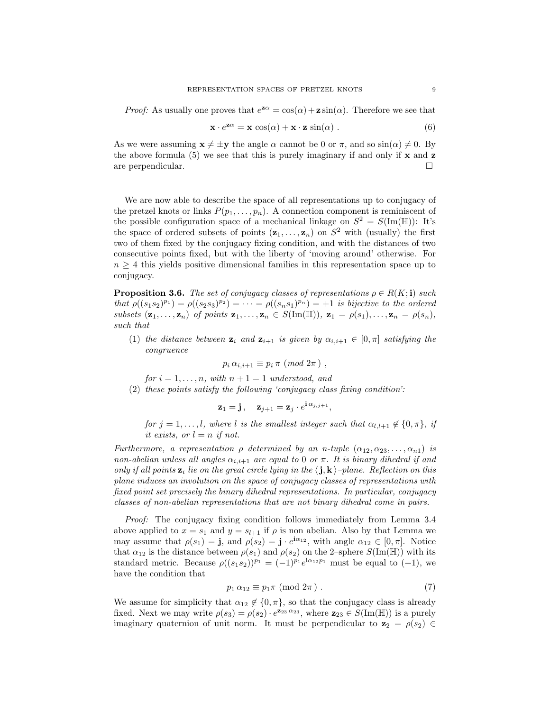*Proof:* As usually one proves that  $e^{z\alpha} = \cos(\alpha) + z \sin(\alpha)$ . Therefore we see that

$$
\mathbf{x} \cdot e^{\mathbf{z}\alpha} = \mathbf{x} \cos(\alpha) + \mathbf{x} \cdot \mathbf{z} \sin(\alpha) . \tag{6}
$$

As we were assuming  $\mathbf{x} \neq \pm \mathbf{y}$  the angle  $\alpha$  cannot be 0 or  $\pi$ , and so  $\sin(\alpha) \neq 0$ . By the above formula (5) we see that this is purely imaginary if and only if  $x$  and  $z$ are perpendicular.

We are now able to describe the space of all representations up to conjugacy of the pretzel knots or links  $P(p_1, \ldots, p_n)$ . A connection component is reminiscent of the possible configuration space of a mechanical linkage on  $S^2 = S(\text{Im}(\mathbb{H}))$ : It's the space of ordered subsets of points  $(\mathbf{z}_1, \ldots, \mathbf{z}_n)$  on  $S^2$  with (usually) the first two of them fixed by the conjugacy fixing condition, and with the distances of two consecutive points fixed, but with the liberty of 'moving around' otherwise. For  $n \geq 4$  this yields positive dimensional families in this representation space up to conjugacy.

**Proposition 3.6.** The set of conjugacy classes of representations  $\rho \in R(K; \mathbf{i})$  such that  $\rho((s_1s_2)^{p_1}) = \rho((s_2s_3)^{p_2}) = \cdots = \rho((s_ns_1)^{p_n}) = +1$  is bijective to the ordered subsets  $(\mathbf{z}_1,\ldots,\mathbf{z}_n)$  of points  $\mathbf{z}_1,\ldots,\mathbf{z}_n \in S(\text{Im}(\mathbb{H}))$ ,  $\mathbf{z}_1 = \rho(s_1),\ldots,\mathbf{z}_n = \rho(s_n)$ , such that

(1) the distance between  $\mathbf{z}_i$  and  $\mathbf{z}_{i+1}$  is given by  $\alpha_{i,i+1} \in [0, \pi]$  satisfying the congruence

$$
p_i \alpha_{i,i+1} \equiv p_i \pi \ (mod \ 2\pi ) \ ,
$$

for  $i = 1, \ldots, n$ , with  $n + 1 = 1$  understood, and

(2) these points satisfy the following 'conjugacy class fixing condition':

$$
\mathbf{z}_1 = \mathbf{j}, \quad \mathbf{z}_{j+1} = \mathbf{z}_j \cdot e^{\mathbf{i} \, \alpha_{j,j+1}},
$$

for  $j = 1, \ldots, l$ , where l is the smallest integer such that  $\alpha_{l,l+1} \notin \{0, \pi\}$ , if it exists, or  $l = n$  if not.

Furthermore, a representation  $\rho$  determined by an n-tuple  $(\alpha_{12}, \alpha_{23}, \ldots, \alpha_{n1})$  is non-abelian unless all angles  $\alpha_{i,i+1}$  are equal to 0 or  $\pi$ . It is binary dihedral if and only if all points  $z_i$  lie on the great circle lying in the  $\langle j, k \rangle$ -plane. Reflection on this plane induces an involution on the space of conjugacy classes of representations with fixed point set precisely the binary dihedral representations. In particular, conjugacy classes of non-abelian representations that are not binary dihedral come in pairs.

Proof: The conjugacy fixing condition follows immediately from Lemma 3.4 above applied to  $x = s_1$  and  $y = s_{l+1}$  if  $\rho$  is non abelian. Also by that Lemma we may assume that  $\rho(s_1) = \mathbf{j}$ , and  $\rho(s_2) = \mathbf{j} \cdot e^{\mathbf{i}\alpha_{12}}$ , with angle  $\alpha_{12} \in [0, \pi]$ . Notice that  $\alpha_{12}$  is the distance between  $\rho(s_1)$  and  $\rho(s_2)$  on the 2–sphere  $S(\text{Im}(\mathbb{H}))$  with its standard metric. Because  $\rho((s_1s_2))^{p_1} = (-1)^{p_1}e^{i\alpha_{12}p_1}$  must be equal to  $(+1)$ , we have the condition that

$$
p_1 \alpha_{12} \equiv p_1 \pi \pmod{2\pi} \tag{7}
$$

We assume for simplicity that  $\alpha_{12} \notin \{0, \pi\}$ , so that the conjugacy class is already fixed. Next we may write  $\rho(s_3) = \rho(s_2) \cdot e^{\mathbf{z}_{23} \alpha_{23}}$ , where  $\mathbf{z}_{23} \in S(\text{Im}(\mathbb{H}))$  is a purely imaginary quaternion of unit norm. It must be perpendicular to  $z_2 = \rho(s_2) \in$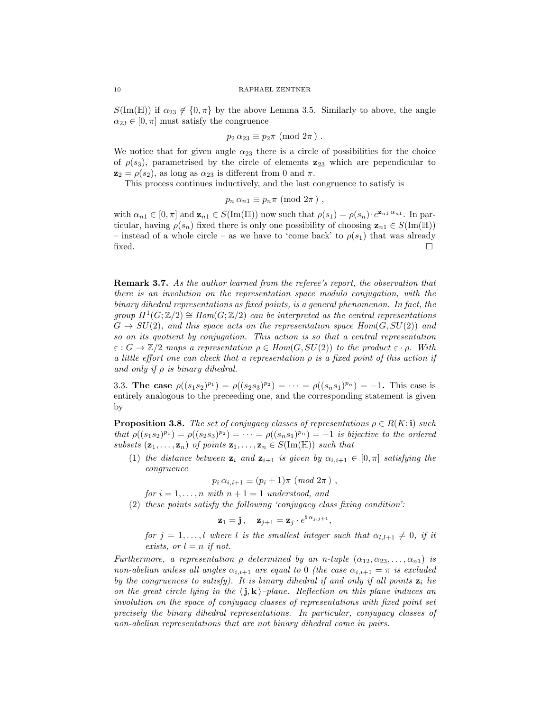$S(\text{Im}(\mathbb{H}))$  if  $\alpha_{23} \notin \{0,\pi\}$  by the above Lemma 3.5. Similarly to above, the angle  $\alpha_{23} \in [0, \pi]$  must satisfy the congruence

$$
p_2 \alpha_{23} \equiv p_2 \pi \pmod{2\pi} .
$$

We notice that for given angle  $\alpha_{23}$  there is a circle of possibilities for the choice of  $\rho(s_3)$ , parametrised by the circle of elements  $z_{23}$  which are pependicular to  $z_2 = \rho(s_2)$ , as long as  $\alpha_{23}$  is different from 0 and  $\pi$ .

This process continues inductively, and the last congruence to satisfy is

$$
p_n \alpha_{n1} \equiv p_n \pi \pmod{2\pi},
$$

with  $\alpha_{n1} \in [0, \pi]$  and  $\mathbf{z}_{n1} \in S(\text{Im}(\mathbb{H}))$  now such that  $\rho(s_1) = \rho(s_n) \cdot e^{\mathbf{z}_{n1} \alpha_{n1}}$ . In particular, having  $\rho(s_n)$  fixed there is only one possibility of choosing  $\mathbf{z}_{n1} \in S(\text{Im}(\mathbb{H}))$ – instead of a whole circle – as we have to 'come back' to  $\rho(s_1)$  that was already  $\Box$ 

**Remark 3.7.** As the author learned from the referee's report, the observation that there is an involution on the representation space modulo conjugation, with the binary dihedral representations as fixed points, is a general phenomenon. In fact, the group  $H^1(G;\mathbb{Z}/2) \cong Hom(G;\mathbb{Z}/2)$  can be interpreted as the central representations  $G \to SU(2)$ , and this space acts on the representation space  $Hom(G, SU(2))$  and so on its quotient by conjugation. This action is so that a central representation  $\varepsilon$  :  $G \to \mathbb{Z}/2$  maps a representation  $\rho \in Hom(G, SU(2))$  to the product  $\varepsilon \cdot \rho$ . With a little effort one can check that a representation  $\rho$  is a fixed point of this action if and only if  $\rho$  is binary dihedral.

3.3. The case  $\rho((s_1s_2)^{p_1}) = \rho((s_2s_3)^{p_2}) = \cdots = \rho((s_ns_1)^{p_n}) = -1$ . This case is entirely analogous to the preceeding one, and the corresponding statement is given by

**Proposition 3.8.** The set of conjugacy classes of representations  $\rho \in R(K; \mathbf{i})$  such that  $\rho((s_1 s_2)^{p_1}) = \rho((s_2 s_3)^{p_2}) = \cdots = \rho((s_n s_1)^{p_n}) = -1$  is bijective to the ordered subsets  $(\mathbf{z}_1, \ldots, \mathbf{z}_n)$  of points  $\mathbf{z}_1, \ldots, \mathbf{z}_n \in S(\text{Im}(\mathbb{H}))$  such that

(1) the distance between  $\mathbf{z}_i$  and  $\mathbf{z}_{i+1}$  is given by  $\alpha_{i,i+1} \in [0, \pi]$  satisfying the congruence

$$
p_i \alpha_{i,i+1} \equiv (p_i + 1)\pi \ (mod \ 2\pi )
$$

for  $i = 1, \ldots, n$  with  $n + 1 = 1$  understood, and

(2) these points satisfy the following 'conjugacy class fixing condition':

$$
\mathbf{z}_1 = \mathbf{j}, \quad \mathbf{z}_{j+1} = \mathbf{z}_j \cdot e^{\mathbf{i} \, \alpha_{j,j+1}},
$$

for  $j = 1, \ldots, l$  where l is the smallest integer such that  $\alpha_{l,l+1} \neq 0$ , if it exists, or  $l = n$  if not.

Furthermore, a representation  $\rho$  determined by an n-tuple  $(\alpha_{12}, \alpha_{23}, \ldots, \alpha_{n1})$  is non-abelian unless all angles  $\alpha_{i,i+1}$  are equal to 0 (the case  $\alpha_{i,i+1} = \pi$  is excluded by the congruences to satisfy). It is binary dihedral if and only if all points  $z_i$  lie on the great circle lying in the  $\langle j, k \rangle$ –plane. Reflection on this plane induces an involution on the space of conjugacy classes of representations with fixed point set precisely the binary dihedral representations. In particular, conjugacy classes of non-abelian representations that are not binary dihedral come in pairs.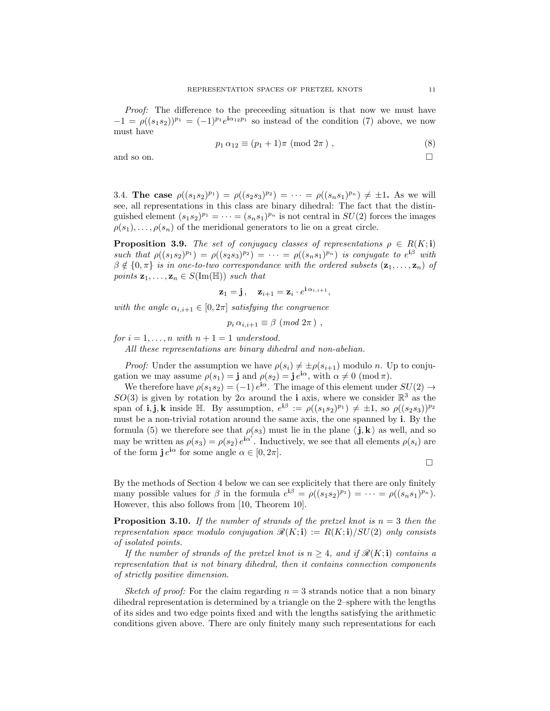Proof: The difference to the preceeding situation is that now we must have  $-1 = \rho((s_1s_2))^{p_1} = (-1)^{p_1}e^{i\alpha_{12}p_1}$  so instead of the condition (7) above, we now must have

$$
p_1 \alpha_{12} \equiv (p_1 + 1)\pi \pmod{2\pi}, \qquad (8)
$$

and so on.  $\Box$ 

3.4. The case  $\rho((s_1s_2)^{p_1}) = \rho((s_2s_3)^{p_2}) = \cdots = \rho((s_ns_1)^{p_n}) \neq \pm 1$ . As we will see, all representations in this class are binary dihedral: The fact that the distinguished element  $(s_1 s_2)^{p_1} = \cdots = (s_n s_1)^{p_n}$  is not central in  $SU(2)$  forces the images  $\rho(s_1), \ldots, \rho(s_n)$  of the meridional generators to lie on a great circle.

**Proposition 3.9.** The set of conjugacy classes of representations  $\rho \in R(K; \mathbf{i})$ such that  $\rho((s_1s_2)^{p_1}) = \rho((s_2s_3)^{p_2}) = \cdots = \rho((s_ns_1)^{p_n})$  is conjugate to  $e^{i\beta}$  with  $\beta \notin \{0, \pi\}$  is in one-to-two correspondance with the ordered subsets  $(\mathbf{z}_1, \dots, \mathbf{z}_n)$  of points  $\mathbf{z}_1, \ldots, \mathbf{z}_n \in S(\text{Im}(\mathbb{H}))$  such that

$$
\mathbf{z}_1 = \mathbf{j}, \quad \mathbf{z}_{i+1} = \mathbf{z}_i \cdot e^{\mathbf{i} \, \alpha_{i,i+1}},
$$

with the angle  $\alpha_{i,i+1} \in [0, 2\pi]$  satisfying the congruence

 $p_i \,\alpha_{i,i+1} \equiv \beta \pmod{2\pi}$ ,

for  $i = 1, \ldots, n$  with  $n + 1 = 1$  understood.

All these representations are binary dihedral and non-abelian.

*Proof:* Under the assumption we have  $\rho(s_i) \neq \pm \rho(s_{i+1})$  modulo n. Up to conjugation we may assume  $\rho(s_1) = \mathbf{j}$  and  $\rho(s_2) = \mathbf{j} e^{\mathbf{i}\alpha}$ , with  $\alpha \neq 0 \pmod{\pi}$ .

We therefore have  $\rho(s_1s_2) = (-1) e^{i\alpha}$ . The image of this element under  $SU(2) \rightarrow$ SO(3) is given by rotation by  $2\alpha$  around the **i** axis, where we consider  $\mathbb{R}^3$  as the span of **i**, **j**, **k** inside  $\mathbb{H}$ . By assumption,  $e^{i\beta} := \rho((s_1s_2)^{p_1}) \neq \pm 1$ , so  $\rho((s_2s_3))^{p_2}$ must be a non-trivial rotation around the same axis, the one spanned by i. By the formula (5) we therefore see that  $\rho(s_3)$  must lie in the plane  $\langle \mathbf{j}, \mathbf{k} \rangle$  as well, and so may be written as  $\rho(s_3) = \rho(s_2) e^{i\alpha'}$ . Inductively, we see that all elements  $\rho(s_i)$  are of the form  $\mathbf{j} e^{\mathbf{i}\alpha}$  for some angle  $\alpha \in [0, 2\pi]$ .

$$
\qquad \qquad \Box
$$

By the methods of Section 4 below we can see explicitely that there are only finitely many possible values for  $\beta$  in the formula  $e^{i\beta} = \rho((s_1s_2)^{p_1}) = \cdots = \rho((s_ns_1)^{p_n})$ . However, this also follows from [10, Theorem 10].

**Proposition 3.10.** If the number of strands of the pretzel knot is  $n = 3$  then the representation space modulo conjugation  $\mathcal{R}(K; \mathbf{i}) := R(K; \mathbf{i})/SU(2)$  only consists of isolated points.

If the number of strands of the pretzel knot is  $n \geq 4$ , and if  $\mathcal{R}(K; \mathbf{i})$  contains a representation that is not binary dihedral, then it contains connection components of strictly positive dimension.

Sketch of proof: For the claim regarding  $n = 3$  strands notice that a non binary dihedral representation is determined by a triangle on the 2–sphere with the lengths of its sides and two edge points fixed and with the lengths satisfying the arithmetic conditions given above. There are only finitely many such representations for each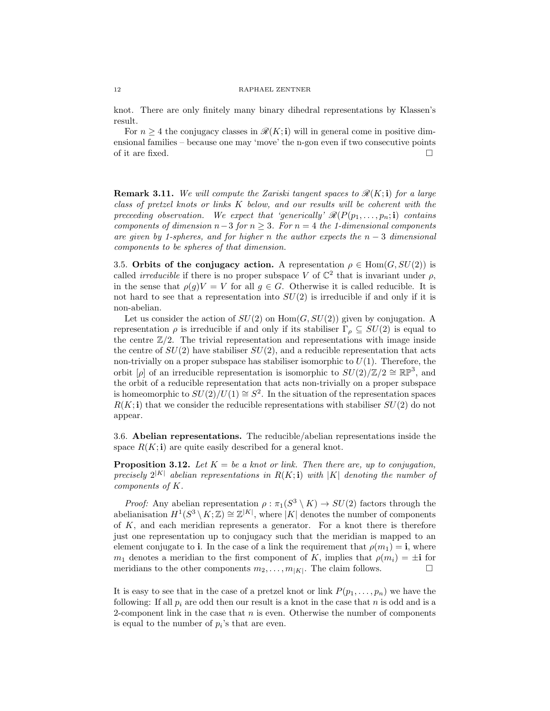knot. There are only finitely many binary dihedral representations by Klassen's result.

For  $n \geq 4$  the conjugacy classes in  $\mathcal{R}(K; \mathbf{i})$  will in general come in positive dimensional families – because one may 'move' the n-gon even if two consecutive points of it are fixed.  $\Box$ 

**Remark 3.11.** We will compute the Zariski tangent spaces to  $\mathcal{R}(K; \mathbf{i})$  for a large class of pretzel knots or links  $K$  below, and our results will be coherent with the preceeding observation. We expect that 'generically'  $\mathcal{R}(P(p_1, \ldots, p_n; \mathbf{i})$  contains components of dimension  $n-3$  for  $n \geq 3$ . For  $n = 4$  the 1-dimensional components are given by 1-spheres, and for higher n the author expects the  $n-3$  dimensional components to be spheres of that dimension.

3.5. Orbits of the conjugacy action. A representation  $\rho \in \text{Hom}(G, SU(2))$  is called *irreducible* if there is no proper subspace V of  $\mathbb{C}^2$  that is invariant under  $\rho$ , in the sense that  $\rho(g)V = V$  for all  $g \in G$ . Otherwise it is called reducible. It is not hard to see that a representation into  $SU(2)$  is irreducible if and only if it is non-abelian.

Let us consider the action of  $SU(2)$  on  $Hom(G, SU(2))$  given by conjugation. A representation  $\rho$  is irreducible if and only if its stabiliser  $\Gamma_{\rho} \subseteq SU(2)$  is equal to the centre  $\mathbb{Z}/2$ . The trivial representation and representations with image inside the centre of  $SU(2)$  have stabiliser  $SU(2)$ , and a reducible representation that acts non-trivially on a proper subspace has stabiliser isomorphic to  $U(1)$ . Therefore, the orbit [ $\rho$ ] of an irreducible representation is isomorphic to  $SU(2)/\mathbb{Z}/2 \cong \mathbb{RP}^3$ , and the orbit of a reducible representation that acts non-trivially on a proper subspace is homeomorphic to  $SU(2)/U(1) \cong S^2$ . In the situation of the representation spaces  $R(K; i)$  that we consider the reducible representations with stabiliser  $SU(2)$  do not appear.

3.6. Abelian representations. The reducible/abelian representations inside the space  $R(K; \mathbf{i})$  are quite easily described for a general knot.

**Proposition 3.12.** Let  $K = be$  a knot or link. Then there are, up to conjugation, precisely  $2^{|K|}$  abelian representations in  $R(K; \mathbf{i})$  with |K| denoting the number of components of K.

*Proof:* Any abelian representation  $\rho : \pi_1(S^3 \setminus K) \to SU(2)$  factors through the abelianisation  $H^1(S^3 \setminus K; \mathbb{Z}) \cong \mathbb{Z}^{|K|}$ , where  $|K|$  denotes the number of components of  $K$ , and each meridian represents a generator. For a knot there is therefore just one representation up to conjugacy such that the meridian is mapped to an element conjugate to i. In the case of a link the requirement that  $\rho(m_1) = \mathbf{i}$ , where  $m_1$  denotes a meridian to the first component of K, implies that  $\rho(m_i) = \pm \mathbf{i}$  for meridians to the other components  $m_2, \ldots, m_{|K|}$ . The claim follows.

It is easy to see that in the case of a pretzel knot or link  $P(p_1, \ldots, p_n)$  we have the following: If all  $p_i$  are odd then our result is a knot in the case that n is odd and is a 2-component link in the case that  $n$  is even. Otherwise the number of components is equal to the number of  $p_i$ 's that are even.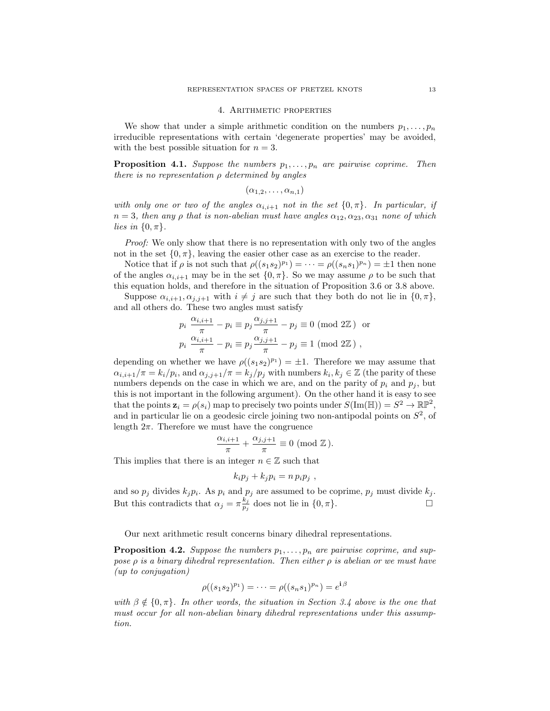### 4. Arithmetic properties

We show that under a simple arithmetic condition on the numbers  $p_1, \ldots, p_n$ irreducible representations with certain 'degenerate properties' may be avoided, with the best possible situation for  $n = 3$ .

**Proposition 4.1.** Suppose the numbers  $p_1, \ldots, p_n$  are pairwise coprime. Then there is no representation  $\rho$  determined by angles

 $(\alpha_{1,2},\ldots,\alpha_{n,1})$ 

with only one or two of the angles  $\alpha_{i,i+1}$  not in the set  $\{0,\pi\}$ . In particular, if  $n = 3$ , then any  $\rho$  that is non-abelian must have angles  $\alpha_{12}, \alpha_{23}, \alpha_{31}$  none of which lies in  $\{0, \pi\}.$ 

Proof: We only show that there is no representation with only two of the angles not in the set  $\{0, \pi\}$ , leaving the easier other case as an exercise to the reader.

Notice that if  $\rho$  is not such that  $\rho((s_1s_2)^{p_1}) = \cdots = \rho((s_ns_1)^{p_n}) = \pm 1$  then none of the angles  $\alpha_{i,i+1}$  may be in the set  $\{0,\pi\}$ . So we may assume  $\rho$  to be such that this equation holds, and therefore in the situation of Proposition 3.6 or 3.8 above.

Suppose  $\alpha_{i,i+1}, \alpha_{j,j+1}$  with  $i \neq j$  are such that they both do not lie in  $\{0, \pi\},$ and all others do. These two angles must satisfy

$$
p_i \frac{\alpha_{i,i+1}}{\pi} - p_i \equiv p_j \frac{\alpha_{j,j+1}}{\pi} - p_j \equiv 0 \pmod{2\mathbb{Z}} \text{ or}
$$
  

$$
p_i \frac{\alpha_{i,i+1}}{\pi} - p_i \equiv p_j \frac{\alpha_{j,j+1}}{\pi} - p_j \equiv 1 \pmod{2\mathbb{Z}},
$$

depending on whether we have  $\rho((s_1s_2)^{p_1}) = \pm 1$ . Therefore we may assume that  $\alpha_{i,i+1}/\pi = k_i/p_i$ , and  $\alpha_{j,j+1}/\pi = k_j/p_j$  with numbers  $k_i, k_j \in \mathbb{Z}$  (the parity of these numbers depends on the case in which we are, and on the parity of  $p_i$  and  $p_j$ , but this is not important in the following argument). On the other hand it is easy to see that the points  $\mathbf{z}_i = \rho(s_i)$  map to precisely two points under  $S(\text{Im}(\mathbb{H})) = S^2 \to \mathbb{R} \mathbb{P}^2$ , and in particular lie on a geodesic circle joining two non-antipodal points on  $S<sup>2</sup>$ , of length  $2\pi$ . Therefore we must have the congruence

$$
\frac{\alpha_{i,i+1}}{\pi} + \frac{\alpha_{j,j+1}}{\pi} \equiv 0 \pmod{\mathbb{Z}}.
$$

This implies that there is an integer  $n \in \mathbb{Z}$  such that

$$
k_i p_j + k_j p_i = n p_i p_j ,
$$

and so  $p_j$  divides  $k_j p_i$ . As  $p_i$  and  $p_j$  are assumed to be coprime,  $p_j$  must divide  $k_j$ . But this contradicts that  $\alpha_j = \pi \frac{k_j}{n_j}$  $\frac{k_j}{p_j}$  does not lie in  $\{0, \pi\}.$ 

Our next arithmetic result concerns binary dihedral representations.

**Proposition 4.2.** Suppose the numbers  $p_1, \ldots, p_n$  are pairwise coprime, and suppose  $\rho$  is a binary dihedral representation. Then either  $\rho$  is abelian or we must have (up to conjugation)

$$
\rho((s_1s_2)^{p_1}) = \cdots = \rho((s_ns_1)^{p_n}) = e^{\mathbf{i}\beta}
$$

with  $\beta \notin \{0, \pi\}$ . In other words, the situation in Section 3.4 above is the one that must occur for all non-abelian binary dihedral representations under this assumption.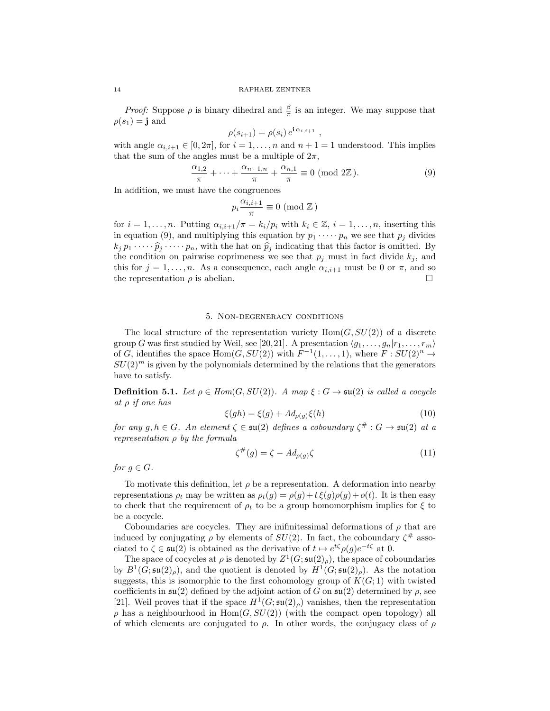*Proof:* Suppose  $\rho$  is binary dihedral and  $\frac{\beta}{\pi}$  is an integer. We may suppose that  $\rho(s_1) = \mathbf{j}$  and

$$
\rho(s_{i+1}) = \rho(s_i) e^{\mathbf{i} \alpha_{i,i+1}}
$$

with angle  $\alpha_{i,i+1} \in [0, 2\pi]$ , for  $i = 1, \ldots, n$  and  $n + 1 = 1$  understood. This implies that the sum of the angles must be a multiple of  $2\pi$ ,

$$
\frac{\alpha_{1,2}}{\pi} + \dots + \frac{\alpha_{n-1,n}}{\pi} + \frac{\alpha_{n,1}}{\pi} \equiv 0 \pmod{2\mathbb{Z}}.
$$
 (9)

,

In addition, we must have the congruences

$$
p_i \frac{\alpha_{i,i+1}}{\pi} \equiv 0 \pmod{\mathbb{Z}}
$$

for  $i = 1, \ldots, n$ . Putting  $\alpha_{i,i+1}/\pi = k_i/p_i$  with  $k_i \in \mathbb{Z}, i = 1, \ldots, n$ , inserting this in equation (9), and multiplying this equation by  $p_1 \cdots p_n$  we see that  $p_j$  divides  $k_j p_1 \cdots \widehat{p}_j \cdots p_n$ , with the hat on  $\widehat{p}_j$  indicating that this factor is omitted. By the condition on pairwise coprimeness we see that  $p_i$  must in fact divide  $k_i$ , and this for  $j = 1, ..., n$ . As a consequence, each angle  $\alpha_{i,i+1}$  must be 0 or  $\pi$ , and so the representation  $\rho$  is abelian.

## 5. Non-degeneracy conditions

The local structure of the representation variety  $Hom(G, SU(2))$  of a discrete group G was first studied by Weil, see [20,21]. A presentation  $\langle q_1, \ldots, q_n | r_1, \ldots, r_m \rangle$ of G, identifies the space  $Hom(G, SU(2))$  with  $F^{-1}(1, \ldots, 1)$ , where  $F: SU(2)^n \to$  $SU(2)^m$  is given by the polynomials determined by the relations that the generators have to satisfy.

**Definition 5.1.** Let  $\rho \in Hom(G, SU(2))$ . A map  $\xi : G \rightarrow \mathfrak{su}(2)$  is called a cocycle at ρ if one has

$$
\xi(gh) = \xi(g) + Ad_{\rho(g)}\xi(h) \tag{10}
$$

for any  $g, h \in G$ . An element  $\zeta \in \mathfrak{su}(2)$  defines a coboundary  $\zeta^\# : G \to \mathfrak{su}(2)$  at a representation  $\rho$  by the formula

$$
\zeta^{\#}(g) = \zeta - Ad_{\rho(g)}\zeta \tag{11}
$$

for  $g \in G$ .

To motivate this definition, let  $\rho$  be a representation. A deformation into nearby representations  $\rho_t$  may be written as  $\rho_t(g) = \rho(g) + t \xi(g) \rho(g) + o(t)$ . It is then easy to check that the requirement of  $\rho_t$  to be a group homomorphism implies for  $\xi$  to be a cocycle.

Coboundaries are cocycles. They are inifinitessimal deformations of  $\rho$  that are induced by conjugating  $\rho$  by elements of  $SU(2)$ . In fact, the coboundary  $\zeta^{\#}$  associated to  $\zeta \in \mathfrak{su}(2)$  is obtained as the derivative of  $t \mapsto e^{t\zeta} \rho(g) e^{-t\zeta}$  at 0.

The space of cocycles at  $\rho$  is denoted by  $Z^1(G; \mathfrak{su}(2)_{\rho})$ , the space of coboundaries by  $B^1(G; \mathfrak{su}(2)_{\rho})$ , and the quotient is denoted by  $H^1(G; \mathfrak{su}(2)_{\rho})$ . As the notation suggests, this is isomorphic to the first cohomology group of  $K(G; 1)$  with twisted coefficients in  $\mathfrak{su}(2)$  defined by the adjoint action of G on  $\mathfrak{su}(2)$  determined by  $\rho$ , see [21]. Weil proves that if the space  $H^1(G; \mathfrak{su}(2)_{\rho})$  vanishes, then the representation  $\rho$  has a neighbourhood in Hom $(G, SU(2))$  (with the compact open topology) all of which elements are conjugated to  $\rho$ . In other words, the conjugacy class of  $\rho$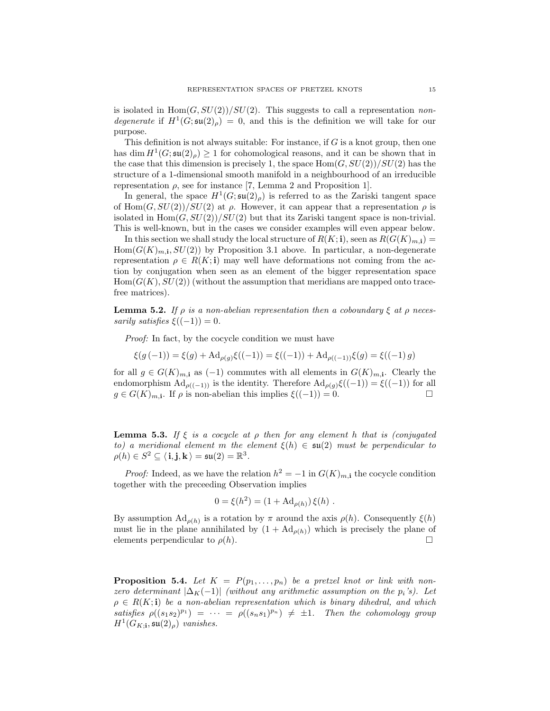is isolated in  $\text{Hom}(G, SU(2))/SU(2)$ . This suggests to call a representation nondegenerate if  $H^1(G; \mathfrak{su}(2)_{\rho}) = 0$ , and this is the definition we will take for our purpose.

This definition is not always suitable: For instance, if  $G$  is a knot group, then one has dim  $H^1(G; \mathfrak{su}(2)_{\rho}) \geq 1$  for cohomological reasons, and it can be shown that in the case that this dimension is precisely 1, the space  $\text{Hom}(G, SU(2))/SU(2)$  has the structure of a 1-dimensional smooth manifold in a neighbourhood of an irreducible representation ρ, see for instance [7, Lemma 2 and Proposition 1].

In general, the space  $H^1(G; \mathfrak{su}(2)_{\rho})$  is referred to as the Zariski tangent space of Hom $(G, SU(2))/SU(2)$  at  $\rho$ . However, it can appear that a representation  $\rho$  is isolated in  $\text{Hom}(G, SU(2))/SU(2)$  but that its Zariski tangent space is non-trivial. This is well-known, but in the cases we consider examples will even appear below.

In this section we shall study the local structure of  $R(K; \mathbf{i})$ , seen as  $R(G(K)_{m, \mathbf{i}})$  =  $Hom(G(K)<sub>m,i</sub>, SU(2))$  by Proposition 3.1 above. In particular, a non-degenerate representation  $\rho \in R(K; \mathbf{i})$  may well have deformations not coming from the action by conjugation when seen as an element of the bigger representation space  $Hom(G(K), SU(2))$  (without the assumption that meridians are mapped onto tracefree matrices).

**Lemma 5.2.** If  $\rho$  is a non-abelian representation then a coboundary  $\xi$  at  $\rho$  necessarily satisfies  $\xi((-1)) = 0$ .

Proof: In fact, by the cocycle condition we must have

$$
\xi(g(-1)) = \xi(g) + \mathrm{Ad}_{\rho(g)}\xi((-1)) = \xi((-1)) + \mathrm{Ad}_{\rho((-1))}\xi(g) = \xi((-1)g)
$$

for all  $g \in G(K)_{m,i}$  as  $(-1)$  commutes with all elements in  $G(K)_{m,i}$ . Clearly the endomorphism  $\operatorname{Ad}_{\rho((-1))}$  is the identity. Therefore  $\operatorname{Ad}_{\rho(g)}\xi((-1)) = \xi((-1))$  for all  $g \in G(K)_{m,1}$ . If  $\rho$  is non-abelian this implies  $\xi((-1)) = 0$ .

**Lemma 5.3.** If  $\xi$  is a cocycle at  $\rho$  then for any element h that is (conjugated to) a meridional element m the element  $\xi(h) \in \mathfrak{su}(2)$  must be perpendicular to  $\rho(h)\in S^2\subseteq \langle \textbf{i},\textbf{j},\textbf{k}\,\rangle=\mathfrak{su}(2)=\mathbb{R}^3.$ 

*Proof:* Indeed, as we have the relation  $h^2 = -1$  in  $G(K)_{m,i}$  the cocycle condition together with the preceeding Observation implies

$$
0 = \xi(h^2) = (1 + \mathrm{Ad}_{\rho(h)}) \xi(h) .
$$

By assumption  $\text{Ad}_{\rho(h)}$  is a rotation by  $\pi$  around the axis  $\rho(h)$ . Consequently  $\xi(h)$ must lie in the plane annihilated by  $(1 + \mathrm{Ad}_{\rho(h)})$  which is precisely the plane of elements perpendicular to  $\rho(h)$ .

**Proposition 5.4.** Let  $K = P(p_1, \ldots, p_n)$  be a pretzel knot or link with nonzero determinant  $|\Delta_K(-1)|$  (without any arithmetic assumption on the  $p_i$ 's). Let  $\rho \in R(K; \mathbf{i})$  be a non-abelian representation which is binary dihedral, and which satisfies  $\rho((s_1s_2)^{p_1}) = \cdots = \rho((s_ns_1)^{p_n}) \neq \pm 1$ . Then the cohomology group  $H^1(G_{K; \mathbf{i}}, \mathfrak{su}(2)_{\rho})$  vanishes.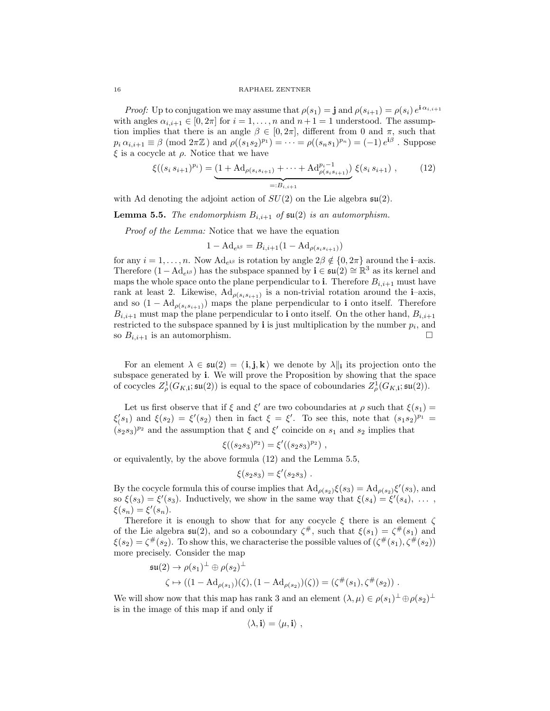*Proof:* Up to conjugation we may assume that  $\rho(s_1) = \mathbf{j}$  and  $\rho(s_{i+1}) = \rho(s_i) e^{\mathbf{i} \alpha_{i,i+1}}$ with angles  $\alpha_{i,i+1} \in [0, 2\pi]$  for  $i = 1, \ldots, n$  and  $n+1 = 1$  understood. The assumption implies that there is an angle  $\beta \in [0, 2\pi]$ , different from 0 and  $\pi$ , such that  $p_i \alpha_{i,i+1} \equiv \beta \pmod{2\pi \mathbb{Z}}$  and  $\rho((s_1 s_2)^{p_1}) = \cdots = \rho((s_n s_1)^{p_n}) = (-1) e^{i\beta}$ . Suppose  $\xi$  is a cocycle at  $\rho$ . Notice that we have

$$
\xi((s_i s_{i+1})^{p_i}) = \underbrace{(1 + \mathrm{Ad}_{\rho(s_i s_{i+1})} + \dots + \mathrm{Ad}_{\rho(s_i s_{i+1})}^{p_i - 1})}_{=: B_{i, i+1}} \xi(s_i s_{i+1}), \quad (12)
$$

with Ad denoting the adjoint action of  $SU(2)$  on the Lie algebra  $\mathfrak{su}(2)$ .

**Lemma 5.5.** The endomorphism  $B_{i,i+1}$  of  $\mathfrak{su}(2)$  is an automorphism.

Proof of the Lemma: Notice that we have the equation

$$
1 - \mathrm{Ad}_{e^{i\beta}} = B_{i,i+1} (1 - \mathrm{Ad}_{\rho(s_i s_{i+1})})
$$

for any  $i = 1, \ldots, n$ . Now  $\text{Ad}_{e^{i\beta}}$  is rotation by angle  $2\beta \notin \{0, 2\pi\}$  around the **i**-axis. Therefore  $(1 - \text{Ad}_{e^{i\beta}})$  has the subspace spanned by  $\mathbf{i} \in \mathfrak{su}(2) \cong \mathbb{R}^3$  as its kernel and maps the whole space onto the plane perpendicular to i. Therefore  $B_{i,i+1}$  must have rank at least 2. Likewise,  $\mathrm{Ad}_{\rho(s_i s_{i+1})}$  is a non-trivial rotation around the **i**-axis, and so  $(1 - \mathrm{Ad}_{\rho(s_i s_{i+1})})$  maps the plane perpendicular to **i** onto itself. Therefore  $B_{i,i+1}$  must map the plane perpendicular to **i** onto itself. On the other hand,  $B_{i,i+1}$ restricted to the subspace spanned by  $\mathbf i$  is just multiplication by the number  $p_i$ , and so  $B_{i,i+1}$  is an automorphism.

For an element  $\lambda \in \mathfrak{su}(2) = \langle i, j, k \rangle$  we denote by  $\lambda \|_i$  its projection onto the subspace generated by i. We will prove the Proposition by showing that the space of cocycles  $Z^1_\rho(G_{K,i}; \mathfrak{su}(2))$  is equal to the space of coboundaries  $Z^1_\rho(G_{K,i}; \mathfrak{su}(2))$ .

Let us first observe that if  $\xi$  and  $\xi'$  are two coboundaries at  $\rho$  such that  $\xi(s_1)$  =  $\xi(s_1)$  and  $\xi(s_2) = \xi'(s_2)$  then in fact  $\xi = \xi'$ . To see this, note that  $(s_1s_2)^{p_1}$  =  $(s_2s_3)^{p_2}$  and the assumption that  $\xi$  and  $\xi'$  coincide on  $s_1$  and  $s_2$  implies that

$$
\xi((s_2s_3)^{p_2}) = \xi'((s_2s_3)^{p_2}),
$$

or equivalently, by the above formula (12) and the Lemma 5.5,

$$
\xi(s_2s_3) = \xi'(s_2s_3) \ .
$$

By the cocycle formula this of course implies that  $\text{Ad}_{\rho(s_2)}\xi(s_3) = \text{Ad}_{\rho(s_2)}\xi'(s_3)$ , and so  $\xi(s_3) = \xi'(s_3)$ . Inductively, we show in the same way that  $\xi(s_4) = \xi'(s_4)$ , ...  $\xi(s_n) = \xi'(s_n).$ 

Therefore it is enough to show that for any cocycle  $\xi$  there is an element  $\zeta$ of the Lie algebra  $\mathfrak{su}(2)$ , and so a coboundary  $\zeta^{\#}$ , such that  $\xi(s_1) = \zeta^{\#}(s_1)$  and  $\xi(s_2) = \zeta^{\#}(s_2)$ . To show this, we characterise the possible values of  $(\zeta^{\#}(s_1), \zeta^{\#}(s_2))$ more precisely. Consider the map

$$
\mathfrak{su}(2) \to \rho(s_1)^{\perp} \oplus \rho(s_2)^{\perp}
$$
  

$$
\zeta \mapsto ((1 - \mathrm{Ad}_{\rho(s_1)})(\zeta), (1 - \mathrm{Ad}_{\rho(s_2)})(\zeta)) = (\zeta^{\#}(s_1), \zeta^{\#}(s_2)) .
$$

We will show now that this map has rank 3 and an element  $(\lambda, \mu) \in \rho(s_1)^\perp \oplus \rho(s_2)^\perp$ is in the image of this map if and only if

$$
\langle \lambda, \mathbf{i} \rangle = \langle \mu, \mathbf{i} \rangle \ ,
$$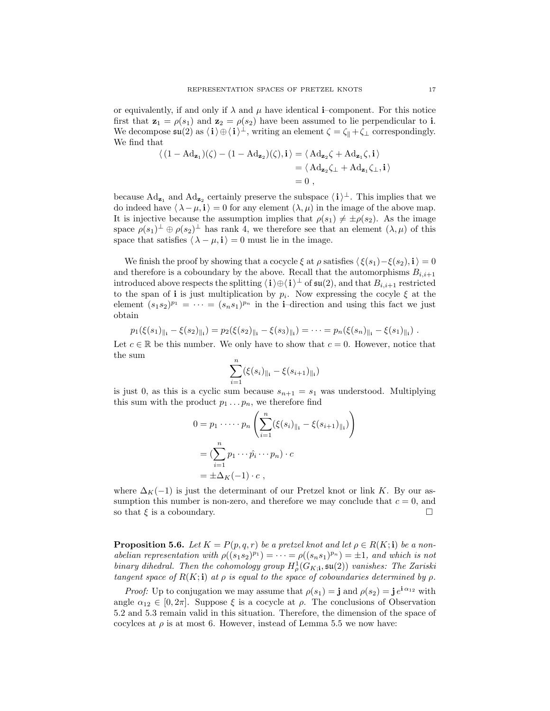or equivalently, if and only if  $\lambda$  and  $\mu$  have identical **i**–component. For this notice first that  $z_1 = \rho(s_1)$  and  $z_2 = \rho(s_2)$  have been assumed to lie perpendicular to **i**. We decompose  $\mathfrak{su}(2)$  as  $\langle \mathbf{i} \rangle \oplus \langle \mathbf{i} \rangle^{\perp}$ , writing an element  $\zeta = \zeta_{\parallel} + \zeta_{\perp}$  correspondingly. We find that

$$
\langle (1 - \mathrm{Ad}_{\mathbf{z}_1})(\zeta) - (1 - \mathrm{Ad}_{\mathbf{z}_2})(\zeta), \mathbf{i} \rangle = \langle \mathrm{Ad}_{\mathbf{z}_2} \zeta + \mathrm{Ad}_{\mathbf{z}_1} \zeta, \mathbf{i} \rangle
$$
  
=  $\langle \mathrm{Ad}_{\mathbf{z}_2} \zeta_{\perp} + \mathrm{Ad}_{\mathbf{z}_1} \zeta_{\perp}, \mathbf{i} \rangle$   
= 0,

because  $\text{Ad}_{\mathbf{z}_1}$  and  $\text{Ad}_{\mathbf{z}_2}$  certainly preserve the subspace  $\langle i \rangle^{\perp}$ . This implies that we do indeed have  $\langle \lambda - \mu, i \rangle = 0$  for any element  $(\lambda, \mu)$  in the image of the above map. It is injective because the assumption implies that  $\rho(s_1) \neq \pm \rho(s_2)$ . As the image space  $\rho(s_1)^\perp \oplus \rho(s_2)^\perp$  has rank 4, we therefore see that an element  $(\lambda, \mu)$  of this space that satisfies  $\langle \lambda - \mu, i \rangle = 0$  must lie in the image.

We finish the proof by showing that a cocycle  $\xi$  at  $\rho$  satisfies  $\langle \xi(s_1)-\xi(s_2), \mathbf{i} \rangle = 0$ and therefore is a coboundary by the above. Recall that the automorphisms  $B_{i,i+1}$ introduced above respects the splitting  $\langle i \rangle \oplus \langle i \rangle^{\perp}$  of  $\mathfrak{su}(2)$ , and that  $B_{i,i+1}$  restricted to the span of **i** is just multiplication by  $p_i$ . Now expressing the cocyle  $\xi$  at the element  $(s_1 s_2)^{p_1} = \cdots = (s_n s_1)^{p_n}$  in the **i**-direction and using this fact we just obtain

$$
p_1(\xi(s_1)_{\parallel_{1}} - \xi(s_2)_{\parallel_{1}}) = p_2(\xi(s_2)_{\parallel_{1}} - \xi(s_3)_{\parallel_{1}}) = \cdots = p_n(\xi(s_n)_{\parallel_{1}} - \xi(s_1)_{\parallel_{1}}).
$$

Let  $c \in \mathbb{R}$  be this number. We only have to show that  $c = 0$ . However, notice that the sum

$$
\sum_{i=1}^{n} (\xi(s_i)_{\parallel_{i}} - \xi(s_{i+1})_{\parallel_{i}})
$$

is just 0, as this is a cyclic sum because  $s_{n+1} = s_1$  was understood. Multiplying this sum with the product  $p_1 \ldots p_n$ , we therefore find

$$
0 = p_1 \cdots p_n \left( \sum_{i=1}^n (\xi(s_i)_{\|_1} - \xi(s_{i+1})_{\|_1}) \right)
$$
  
= 
$$
(\sum_{i=1}^n p_1 \cdots \hat{p}_i \cdots p_n) \cdot c
$$
  
= 
$$
\pm \Delta_K (-1) \cdot c,
$$

where  $\Delta_K(-1)$  is just the determinant of our Pretzel knot or link K. By our assumption this number is non-zero, and therefore we may conclude that  $c = 0$ , and so that  $\xi$  is a coboundary.

**Proposition 5.6.** Let  $K = P(p, q, r)$  be a pretzel knot and let  $\rho \in R(K; \mathbf{i})$  be a nonabelian representation with  $\rho((s_1s_2)^{p_1}) = \cdots = \rho((s_ns_1)^{p_n}) = \pm 1$ , and which is not binary dihedral. Then the cohomology group  $H^1_\rho(G_{K; \mathbf{i}}, \mathfrak{su}(2))$  vanishes: The Zariski tangent space of  $R(K; \mathbf{i})$  at  $\rho$  is equal to the space of coboundaries determined by  $\rho$ .

*Proof:* Up to conjugation we may assume that  $\rho(s_1) = \mathbf{j}$  and  $\rho(s_2) = \mathbf{j} e^{\mathbf{i} \alpha_{12}}$  with angle  $\alpha_{12} \in [0, 2\pi]$ . Suppose  $\xi$  is a cocycle at  $\rho$ . The conclusions of Observation 5.2 and 5.3 remain valid in this situation. Therefore, the dimension of the space of cocylces at  $\rho$  is at most 6. However, instead of Lemma 5.5 we now have: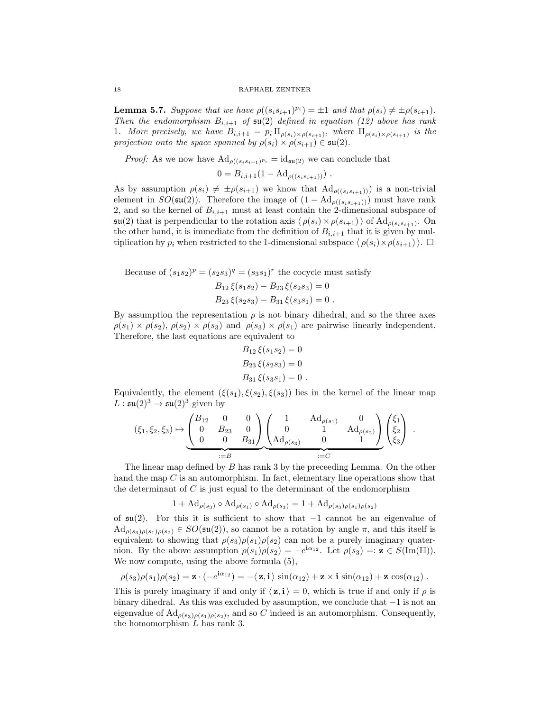**Lemma 5.7.** Suppose that we have  $\rho((s_i s_{i+1})^{p_i}) = \pm 1$  and that  $\rho(s_i) \neq \pm \rho(s_{i+1})$ . Then the endomorphism  $B_{i,i+1}$  of  $\mathfrak{su}(2)$  defined in equation (12) above has rank 1. More precisely, we have  $B_{i,i+1} = p_i \prod_{\rho(s_i) \times \rho(s_{i+1})}$ , where  $\prod_{\rho(s_i) \times \rho(s_{i+1})}$  is the projection onto the space spanned by  $\rho(s_i) \times \rho(s_{i+1}) \in \mathfrak{su}(2)$ .

*Proof:* As we now have  $\mathrm{Ad}_{\rho((s_i s_{i+1})^{p_i}} = \mathrm{id}_{\mathfrak{su}(2)}$  we can conclude that

 $0 = B_{i,i+1}(1 - \mathrm{Ad}_{\rho((s_i s_{i+1}))})$ .

As by assumption  $\rho(s_i) \neq \pm \rho(s_{i+1})$  we know that  $\mathrm{Ad}_{\rho((s_i s_{i+1}))})$  is a non-trivial element in  $SO(\mathfrak{su}(2))$ . Therefore the image of  $(1 - \mathrm{Ad}_{\rho((s_i s_{i+1}))})$  must have rank 2, and so the kernel of  $B_{i,i+1}$  must at least contain the 2-dimensional subspace of  $\mathfrak{su}(2)$  that is perpendicular to the rotation axis  $\langle \rho(s_i) \times \rho(s_{i+1}) \rangle$  of  $\text{Ad}_{\rho(s_i s_{i+1})}$ . On the other hand, it is immediate from the definition of  $B_{i,i+1}$  that it is given by multiplication by  $p_i$  when restricted to the 1-dimensional subspace  $\langle \rho(s_i) \times \rho(s_{i+1}) \rangle$ .

Because of  $(s_1s_2)^p = (s_2s_3)^q = (s_3s_1)^r$  the cocycle must satisfy  $B_{12} \xi(s_1s_2) = B_{22} \xi(s_2s_3) = 0$ 

$$
B_{23}\xi(s_1s_2) - B_{23}\xi(s_2s_3) = 0
$$
  

$$
B_{23}\xi(s_2s_3) - B_{31}\xi(s_3s_1) = 0.
$$

By assumption the representation  $\rho$  is not binary dihedral, and so the three axes  $\rho(s_1) \times \rho(s_2)$ ,  $\rho(s_2) \times \rho(s_3)$  and  $\rho(s_3) \times \rho(s_1)$  are pairwise linearly independent. Therefore, the last equations are equivalent to

$$
B_{12}\xi(s_1s_2) = 0
$$
  
\n
$$
B_{23}\xi(s_2s_3) = 0
$$
  
\n
$$
B_{31}\xi(s_3s_1) = 0
$$
.

Equivalently, the element  $(\xi(s_1), \xi(s_2), \xi(s_3))$  lies in the kernel of the linear map  $L : \mathfrak{su}(2)^3 \to \mathfrak{su}(2)^3$  given by

$$
(\xi_1, \xi_2, \xi_3) \mapsto \underbrace{\begin{pmatrix} B_{12} & 0 & 0 \\ 0 & B_{23} & 0 \\ 0 & 0 & B_{31} \end{pmatrix}}_{:=B} \underbrace{\begin{pmatrix} 1 & \mathrm{Ad}_{\rho(s_1)} & 0 \\ 0 & 1 & \mathrm{Ad}_{\rho(s_2)} \\ \mathrm{Ad}_{\rho(s_3)} & 0 & 1 \end{pmatrix}}_{:=C} \begin{pmatrix} \xi_1 \\ \xi_2 \\ \xi_3 \end{pmatrix}.
$$

The linear map defined by B has rank 3 by the preceeding Lemma. On the other hand the map  $C$  is an automorphism. In fact, elementary line operations show that the determinant of  $C$  is just equal to the determinant of the endomorphism

$$
1 + \mathrm{Ad}_{\rho(s_3)} \circ \mathrm{Ad}_{\rho(s_1)} \circ \mathrm{Ad}_{\rho(s_3)} = 1 + \mathrm{Ad}_{\rho(s_3)\rho(s_1)\rho(s_2)}
$$

of  $\mathfrak{su}(2)$ . For this it is sufficient to show that  $-1$  cannot be an eigenvalue of  $\mathrm{Ad}_{\rho(s_3)\rho(s_1)\rho(s_2)} \in SO(\mathfrak{su}(2))$ , so cannot be a rotation by angle  $\pi$ , and this itself is equivalent to showing that  $\rho(s_3)\rho(s_1)\rho(s_2)$  can not be a purely imaginary quaternion. By the above assumption  $\rho(s_1)\rho(s_2) = -e^{i\alpha_{12}}$ . Let  $\rho(s_3) =: \mathbf{z} \in S(\text{Im}(\mathbb{H}))$ . We now compute, using the above formula  $(5)$ ,

$$
\rho(s_3)\rho(s_1)\rho(s_2) = \mathbf{z} \cdot (-e^{\mathbf{i}\alpha_{12}}) = -\langle \mathbf{z}, \mathbf{i} \rangle \sin(\alpha_{12}) + \mathbf{z} \times \mathbf{i} \sin(\alpha_{12}) + \mathbf{z} \cos(\alpha_{12}).
$$

This is purely imaginary if and only if  $\langle z, i \rangle = 0$ , which is true if and only if  $\rho$  is binary dihedral. As this was excluded by assumption, we conclude that −1 is not an eigenvalue of  $\mathrm{Ad}_{\rho(s_3)\rho(s_1)\rho(s_2)}$ , and so C indeed is an automorphism. Consequently, the homomorphism L has rank 3.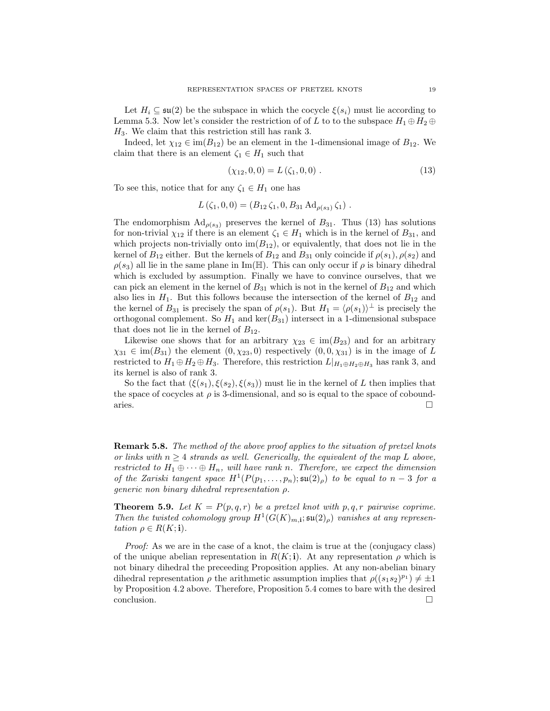Let  $H_i \subseteq \mathfrak{su}(2)$  be the subspace in which the cocycle  $\xi(s_i)$  must lie according to Lemma 5.3. Now let's consider the restriction of of L to to the subspace  $H_1 \oplus H_2 \oplus$  $H_3$ . We claim that this restriction still has rank 3.

Indeed, let  $\chi_{12} \in \text{im}(B_{12})$  be an element in the 1-dimensional image of  $B_{12}$ . We claim that there is an element  $\zeta_1 \in H_1$  such that

$$
(\chi_{12}, 0, 0) = L(\zeta_1, 0, 0). \tag{13}
$$

To see this, notice that for any  $\zeta_1 \in H_1$  one has

$$
L(\zeta_1, 0, 0) = (B_{12}\zeta_1, 0, B_{31}\mathrm{Ad}_{\rho(s_3)}\zeta_1) .
$$

The endomorphism  $\text{Ad}_{\rho(s_3)}$  preserves the kernel of  $B_{31}$ . Thus (13) has solutions for non-trivial  $\chi_{12}$  if there is an element  $\zeta_1 \in H_1$  which is in the kernel of  $B_{31}$ , and which projects non-trivially onto  $\text{im}(B_{12})$ , or equivalently, that does not lie in the kernel of  $B_{12}$  either. But the kernels of  $B_{12}$  and  $B_{31}$  only coincide if  $\rho(s_1)$ ,  $\rho(s_2)$  and  $\rho(s_3)$  all lie in the same plane in Im(H). This can only occur if  $\rho$  is binary dihedral which is excluded by assumption. Finally we have to convince ourselves, that we can pick an element in the kernel of  $B_{31}$  which is not in the kernel of  $B_{12}$  and which also lies in  $H_1$ . But this follows because the intersection of the kernel of  $B_{12}$  and the kernel of  $B_{31}$  is precisely the span of  $\rho(s_1)$ . But  $H_1 = \langle \rho(s_1) \rangle^{\perp}$  is precisely the orthogonal complement. So  $H_1$  and  $\ker(B_{31})$  intersect in a 1-dimensional subspace that does not lie in the kernel of  $B_{12}$ .

Likewise one shows that for an arbitrary  $\chi_{23} \in \text{im}(B_{23})$  and for an arbitrary  $\chi_{31} \in \text{im}(B_{31})$  the element  $(0, \chi_{23}, 0)$  respectively  $(0, 0, \chi_{31})$  is in the image of L restricted to  $H_1 \oplus H_2 \oplus H_3$ . Therefore, this restriction  $L|_{H_1 \oplus H_2 \oplus H_3}$  has rank 3, and its kernel is also of rank 3.

So the fact that  $(\xi(s_1), \xi(s_2), \xi(s_3))$  must lie in the kernel of L then implies that the space of cocycles at  $\rho$  is 3-dimensional, and so is equal to the space of coboundaries.

Remark 5.8. The method of the above proof applies to the situation of pretzel knots or links with  $n \geq 4$  strands as well. Generically, the equivalent of the map L above, restricted to  $H_1 \oplus \cdots \oplus H_n$ , will have rank n. Therefore, we expect the dimension of the Zariski tangent space  $H^1(P(p_1,\ldots,p_n); \mathfrak{su}(2)_{\rho})$  to be equal to  $n-3$  for a generic non binary dihedral representation ρ.

**Theorem 5.9.** Let  $K = P(p, q, r)$  be a pretzel knot with p, q, r pairwise coprime. Then the twisted cohomology group  $H^1(G(K)_{m,i}; \mathfrak{su}(2)_{\rho})$  vanishes at any representation  $\rho \in R(K; \mathbf{i}).$ 

Proof: As we are in the case of a knot, the claim is true at the (conjugacy class) of the unique abelian representation in  $R(K; \mathbf{i})$ . At any representation  $\rho$  which is not binary dihedral the preceeding Proposition applies. At any non-abelian binary dihedral representation  $\rho$  the arithmetic assumption implies that  $\rho((s_1s_2)^{p_1}) \neq \pm 1$ by Proposition 4.2 above. Therefore, Proposition 5.4 comes to bare with the desired conclusion.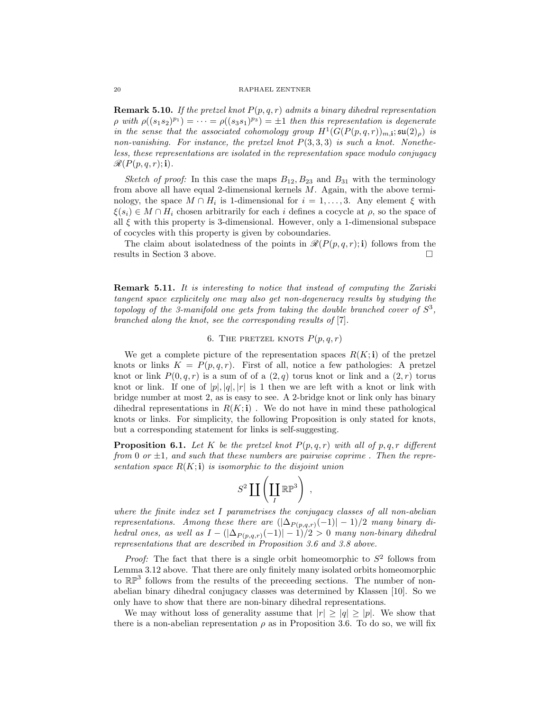**Remark 5.10.** If the pretzel knot  $P(p,q,r)$  admits a binary dihedral representation  $\rho \text{ with } \rho((s_1s_2)^{p_1}) = \cdots = \rho((s_3s_1)^{p_3}) = \pm 1$  then this representation is degenerate in the sense that the associated cohomology group  $H^1(G(P(p,q,r))_{m,1}; \mathfrak{su}(2)_{\rho})$  is non-vanishing. For instance, the pretzel knot  $P(3,3,3)$  is such a knot. Nonetheless, these representations are isolated in the representation space modulo conjugacy  $\mathscr{R}(P(p,q,r);$ **i**).

Sketch of proof: In this case the maps  $B_{12}$ ,  $B_{23}$  and  $B_{31}$  with the terminology from above all have equal 2-dimensional kernels M. Again, with the above terminology, the space  $M \cap H_i$  is 1-dimensional for  $i = 1, ..., 3$ . Any element  $\xi$  with  $\xi(s_i) \in M \cap H_i$  chosen arbitrarily for each i defines a cocycle at  $\rho$ , so the space of all  $\xi$  with this property is 3-dimensional. However, only a 1-dimensional subspace of cocycles with this property is given by coboundaries.

The claim about isolatedness of the points in  $\mathcal{R}(P(p,q,r); i)$  follows from the results in Section 3 above.

Remark 5.11. It is interesting to notice that instead of computing the Zariski tangent space explicitely one may also get non-degeneracy results by studying the topology of the 3-manifold one gets from taking the double branched cover of  $S^3$ , branched along the knot, see the corresponding results of [7].

# 6. THE PRETZEL KNOTS  $P(p,q,r)$

We get a complete picture of the representation spaces  $R(K; i)$  of the pretzel knots or links  $K = P(p,q,r)$ . First of all, notice a few pathologies: A pretzel knot or link  $P(0, q, r)$  is a sum of of a  $(2,q)$  torus knot or link and a  $(2, r)$  torus knot or link. If one of  $|p|, |q|, |r|$  is 1 then we are left with a knot or link with bridge number at most 2, as is easy to see. A 2-bridge knot or link only has binary dihedral representations in  $R(K; \mathbf{i})$ . We do not have in mind these pathological knots or links. For simplicity, the following Proposition is only stated for knots, but a corresponding statement for links is self-suggesting.

**Proposition 6.1.** Let K be the pretzel knot  $P(p,q,r)$  with all of p, q, r different from 0 or  $\pm 1$ , and such that these numbers are pairwise coprime. Then the representation space  $R(K; \mathbf{i})$  is isomorphic to the disjoint union

$$
S^2 \coprod \left( \coprod_I \mathbb{RP}^3 \right) ,
$$

where the finite index set I parametrises the conjugacy classes of all non-abelian representations. Among these there are  $(|\Delta_{P(p,q,r)}(-1)|-1)/2$  many binary dihedral ones, as well as  $I - (|\Delta_{P(p,q,r)}(-1)| - 1)/2 > 0$  many non-binary dihedral representations that are described in Proposition 3.6 and 3.8 above.

*Proof:* The fact that there is a single orbit homeomorphic to  $S^2$  follows from Lemma 3.12 above. That there are only finitely many isolated orbits homeomorphic to  $\mathbb{RP}^3$  follows from the results of the preceeding sections. The number of nonabelian binary dihedral conjugacy classes was determined by Klassen [10]. So we only have to show that there are non-binary dihedral representations.

We may without loss of generality assume that  $|r| \ge |q| \ge |p|$ . We show that there is a non-abelian representation  $\rho$  as in Proposition 3.6. To do so, we will fix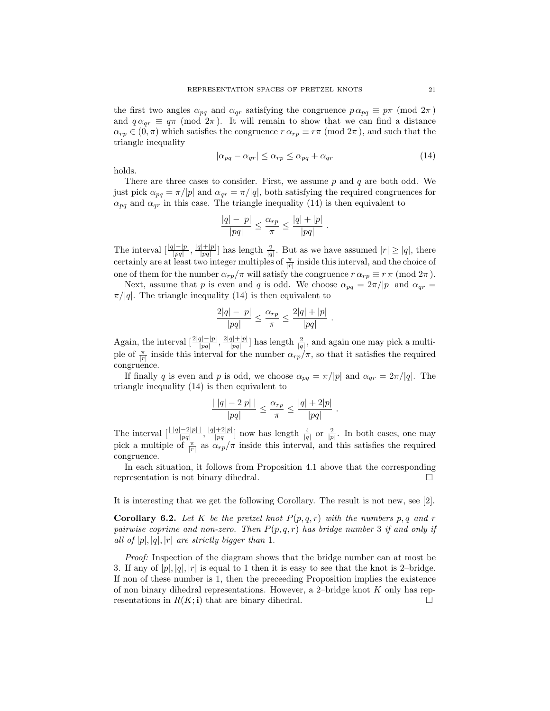the first two angles  $\alpha_{pq}$  and  $\alpha_{qr}$  satisfying the congruence  $p \alpha_{pq} \equiv p \pi \pmod{2\pi}$ and  $q \alpha_{qr} \equiv q \pi \pmod{2\pi}$ . It will remain to show that we can find a distance  $\alpha_{rp} \in (0, \pi)$  which satisfies the congruence  $r \alpha_{rp} \equiv r \pi \pmod{2\pi}$ , and such that the triangle inequality

$$
|\alpha_{pq} - \alpha_{qr}| \le \alpha_{rp} \le \alpha_{pq} + \alpha_{qr} \tag{14}
$$

.

.

holds.

There are three cases to consider. First, we assume  $p$  and  $q$  are both odd. We just pick  $\alpha_{pq} = \pi/|p|$  and  $\alpha_{qr} = \pi/|q|$ , both satisfying the required congruences for  $\alpha_{pq}$  and  $\alpha_{qr}$  in this case. The triangle inequality (14) is then equivalent to

$$
\frac{|q|-|p|}{|pq|} \le \frac{\alpha_{rp}}{\pi} \le \frac{|q|+|p|}{|pq|} .
$$

The interval  $\left[\frac{|q|-|p|}{|pq|}, \frac{|q|+|p|}{|pq|}\right]$  $\frac{(|+|p|)}{|pq|}$  has length  $\frac{2}{|q|}$ . But as we have assumed  $|r| \ge |q|$ , there certainly are at least two integer multiples of  $\frac{\pi}{|r|}$  inside this interval, and the choice of one of them for the number  $\alpha_{rp}/\pi$  will satisfy the congruence  $r \alpha_{rp} \equiv r \pi \pmod{2\pi}$ .

Next, assume that p is even and q is odd. We choose  $\alpha_{pq} = 2\pi/|p|$  and  $\alpha_{qr} =$  $\pi/|q|$ . The triangle inequality (14) is then equivalent to

$$
\frac{2|q|-|p|}{|pq|} \le \frac{\alpha_{rp}}{\pi} \le \frac{2|q|+|p|}{|pq|}
$$

Again, the interval  $\left[\frac{2|q|-|p|}{|pq|}, \frac{2|q|+|p|}{|pq|}\right]$  $\frac{q|+|p|}{|pq|}$  has length  $\frac{2}{|q|}$ , and again one may pick a multiple of  $\frac{\pi}{|r|}$  inside this interval for the number  $\alpha_{rp}/\pi$ , so that it satisfies the required congruence.

If finally q is even and p is odd, we choose  $\alpha_{pq} = \pi/|p|$  and  $\alpha_{qr} = 2\pi/|q|$ . The triangle inequality (14) is then equivalent to

$$
\frac{|\ |q| - 2|p| \ |}{|pq|} \le \frac{\alpha_{rp}}{\pi} \le \frac{|q| + 2|p|}{|pq|}
$$

The interval  $\left[\frac{||q|-2|p||}{|pq|}, \frac{|q|+2|p|}{|pq|}\right]$  $\frac{+2|p|}{|pq|}$  now has length  $\frac{4}{|q|}$  or  $\frac{2}{|p|}$ . In both cases, one may pick a multiple of  $\frac{r}{|r|}$  as  $\alpha_{rp}/\pi$  inside this interval, and this satisfies the required congruence.

In each situation, it follows from Proposition 4.1 above that the corresponding representation is not binary dihedral.

It is interesting that we get the following Corollary. The result is not new, see [2].

**Corollary 6.2.** Let K be the pretzel knot  $P(p,q,r)$  with the numbers p, q and r pairwise coprime and non-zero. Then  $P(p,q,r)$  has bridge number 3 if and only if all of  $|p|, |q|, |r|$  are strictly bigger than 1.

Proof: Inspection of the diagram shows that the bridge number can at most be 3. If any of  $|p|, |q|, |r|$  is equal to 1 then it is easy to see that the knot is 2-bridge. If non of these number is 1, then the preceeding Proposition implies the existence of non binary dihedral representations. However, a 2-bridge knot  $K$  only has representations in  $R(K; \mathbf{i})$  that are binary dihedral.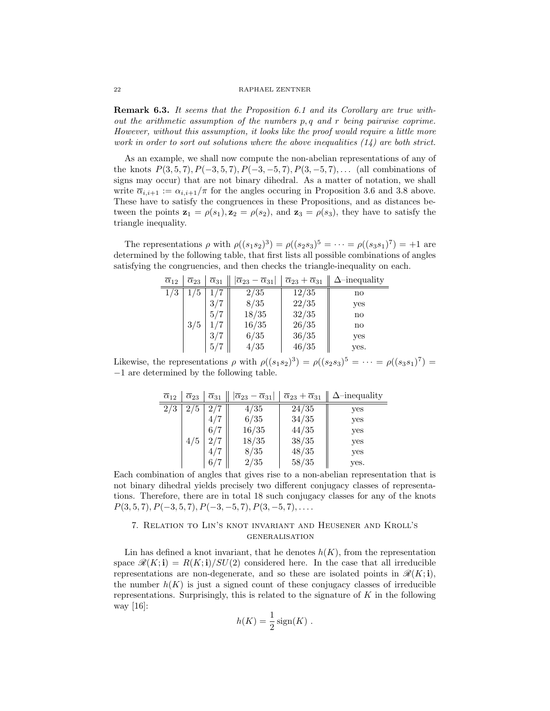**Remark 6.3.** It seems that the Proposition 6.1 and its Corollary are true without the arithmetic assumption of the numbers p, q and r being pairwise coprime. However, without this assumption, it looks like the proof would require a little more work in order to sort out solutions where the above inequalities  $(14)$  are both strict.

As an example, we shall now compute the non-abelian representations of any of the knots  $P(3, 5, 7), P(-3, 5, 7), P(-3, -5, 7), P(3, -5, 7), \ldots$  (all combinations of signs may occur) that are not binary dihedral. As a matter of notation, we shall write  $\overline{\alpha}_{i,i+1} := \alpha_{i,i+1}/\pi$  for the angles occuring in Proposition 3.6 and 3.8 above. These have to satisfy the congruences in these Propositions, and as distances between the points  $\mathbf{z}_1 = \rho(s_1), \mathbf{z}_2 = \rho(s_2),$  and  $\mathbf{z}_3 = \rho(s_3)$ , they have to satisfy the triangle inequality.

The representations  $\rho$  with  $\rho((s_1s_2)^3) = \rho((s_2s_3)^5 = \cdots = \rho((s_3s_1)^7) = +1$  are determined by the following table, that first lists all possible combinations of angles satisfying the congruencies, and then checks the triangle-inequality on each.

| $\overline{\alpha}_{12}$ | $\overline{\alpha}_{23}$ | $\overline{\alpha}_{31}$ | $\left \overline{\alpha}_{23}-\overline{\alpha}_{31}\right $ | $\overline{\alpha}_{23}+\overline{\alpha}_{31}$ | $\Delta$ -inequality |
|--------------------------|--------------------------|--------------------------|--------------------------------------------------------------|-------------------------------------------------|----------------------|
| 1/3                      | 75                       |                          | 2/35                                                         | 12/35                                           | no                   |
|                          |                          | 3/7                      | 8/35                                                         | 22/35                                           | yes                  |
|                          |                          | 5/7                      | 18/35                                                        | 32/35                                           | no                   |
|                          | 3/5                      |                          | 16/35                                                        | 26/35                                           | no                   |
|                          |                          | 3/7                      | 6/35                                                         | 36/35                                           | yes                  |
|                          |                          | 5/7                      | 4/35                                                         | 46/35                                           | yes.                 |

Likewise, the representations  $\rho$  with  $\rho((s_1s_2)^3) = \rho((s_2s_3)^5 = \cdots = \rho((s_3s_1)^7) =$ −1 are determined by the following table.

| $\overline{\alpha}_{12}$ | $\overline{\alpha}_{23}$ | $\overline{\alpha}_{31}$ | $ \overline{\alpha}_{23}-\overline{\alpha}_{31} $ | $\overline{\alpha}_{23}+\overline{\alpha}_{31}$ | $\Delta$ -inequality |
|--------------------------|--------------------------|--------------------------|---------------------------------------------------|-------------------------------------------------|----------------------|
| 2/3                      | /5                       |                          | 4/35                                              | 24/35                                           | yes                  |
|                          |                          |                          | 6/35                                              | 34/35                                           | yes                  |
|                          |                          | 6/7                      | 16/35                                             | 44/35                                           | yes                  |
|                          | 4/5                      | 2/7                      | 18/35                                             | 38/35                                           | yes                  |
|                          |                          | 4/7                      | 8/35                                              | 48/35                                           | yes                  |
|                          |                          | 6/                       | 2/35                                              | 58/35                                           | yes.                 |

Each combination of angles that gives rise to a non-abelian representation that is not binary dihedral yields precisely two different conjugacy classes of representations. Therefore, there are in total 18 such conjugacy classes for any of the knots  $P(3, 5, 7), P(-3, 5, 7), P(-3, -5, 7), P(3, -5, 7), \ldots$ 

# 7. Relation to Lin's knot invariant and Heusener and Kroll's generalisation

Lin has defined a knot invariant, that he denotes  $h(K)$ , from the representation space  $\mathcal{R}(K; \mathbf{i}) = R(K; \mathbf{i})/SU(2)$  considered here. In the case that all irreducible representations are non-degenerate, and so these are isolated points in  $\mathcal{R}(K; \mathbf{i})$ , the number  $h(K)$  is just a signed count of these conjugacy classes of irreducible representations. Surprisingly, this is related to the signature of  $K$  in the following way [16]:

$$
h(K) = \frac{1}{2}\operatorname{sign}(K) .
$$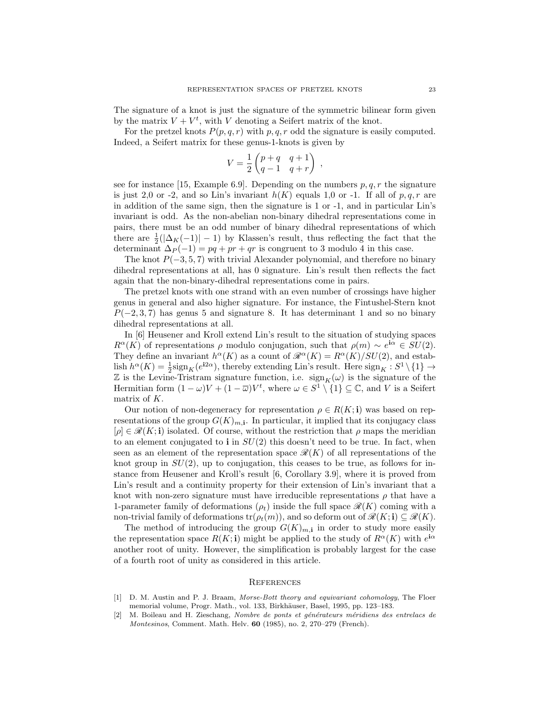The signature of a knot is just the signature of the symmetric bilinear form given by the matrix  $V + V^t$ , with V denoting a Seifert matrix of the knot.

For the pretzel knots  $P(p,q,r)$  with p, q, r odd the signature is easily computed. Indeed, a Seifert matrix for these genus-1-knots is given by

$$
V = \frac{1}{2} \begin{pmatrix} p+q & q+1 \\ q-1 & q+r \end{pmatrix} ,
$$

see for instance [15, Example 6.9]. Depending on the numbers  $p, q, r$  the signature is just 2,0 or -2, and so Lin's invariant  $h(K)$  equals 1,0 or -1. If all of p, q, r are in addition of the same sign, then the signature is 1 or -1, and in particular Lin's invariant is odd. As the non-abelian non-binary dihedral representations come in pairs, there must be an odd number of binary dihedral representations of which there are  $\frac{1}{2}(|\Delta_K(-1)|-1)$  by Klassen's result, thus reflecting the fact that the determinant  $\Delta_P(-1) = pq + pr + qr$  is congruent to 3 modulo 4 in this case.

The knot  $P(-3, 5, 7)$  with trivial Alexander polynomial, and therefore no binary dihedral representations at all, has 0 signature. Lin's result then reflects the fact again that the non-binary-dihedral representations come in pairs.

The pretzel knots with one strand with an even number of crossings have higher genus in general and also higher signature. For instance, the Fintushel-Stern knot  $P(-2, 3, 7)$  has genus 5 and signature 8. It has determinant 1 and so no binary dihedral representations at all.

In [6] Heusener and Kroll extend Lin's result to the situation of studying spaces  $R^{\alpha}(K)$  of representations  $\rho$  modulo conjugation, such that  $\rho(m) \sim e^{i\alpha} \in SU(2)$ . They define an invariant  $h^{\alpha}(K)$  as a count of  $\mathcal{R}^{\alpha}(K) = R^{\alpha}(K)/SU(2)$ , and establish  $h^{\alpha}(K) = \frac{1}{2} \text{sign}_K(e^{i2\alpha})$ , thereby extending Lin's result. Here  $\text{sign}_K : S^1 \setminus \{1\} \to$ Z is the Levine-Tristram signature function, i.e.  $sign_K(\omega)$  is the signature of the Hermitian form  $(1 - \omega)V + (1 - \overline{\omega})V^t$ , where  $\omega \in S^1 \setminus \{1\} \subseteq \mathbb{C}$ , and V is a Seifert matrix of K.

Our notion of non-degeneracy for representation  $\rho \in R(K; \mathbf{i})$  was based on representations of the group  $G(K)_{m,1}$ . In particular, it implied that its conjugacy class  $[\rho] \in \mathcal{R}(K; \mathbf{i})$  isolated. Of course, without the restriction that  $\rho$  maps the meridian to an element conjugated to **i** in  $SU(2)$  this doesn't need to be true. In fact, when seen as an element of the representation space  $\mathcal{R}(K)$  of all representations of the knot group in  $SU(2)$ , up to conjugation, this ceases to be true, as follows for instance from Heusener and Kroll's result [6, Corollary 3.9], where it is proved from Lin's result and a continuity property for their extension of Lin's invariant that a knot with non-zero signature must have irreducible representations  $\rho$  that have a 1-parameter family of deformations  $(\rho_t)$  inside the full space  $\mathcal{R}(K)$  coming with a non-trivial family of deformations  $tr(\rho_t(m))$ , and so deform out of  $\mathscr{R}(K; \mathbf{i}) \subseteq \mathscr{R}(K)$ .

The method of introducing the group  $G(K)_{m,i}$  in order to study more easily the representation space  $R(K; \mathbf{i})$  might be applied to the study of  $R^{\alpha}(K)$  with  $e^{i\alpha}$ another root of unity. However, the simplification is probably largest for the case of a fourth root of unity as considered in this article.

## **REFERENCES**

- [1] D. M. Austin and P. J. Braam, Morse-Bott theory and equivariant cohomology, The Floer memorial volume, Progr. Math., vol. 133, Birkhäuser, Basel, 1995, pp. 123-183.
- [2] M. Boileau and H. Zieschang, Nombre de ponts et générateurs méridiens des entrelacs de Montesinos, Comment. Math. Helv. 60 (1985), no. 2, 270–279 (French).